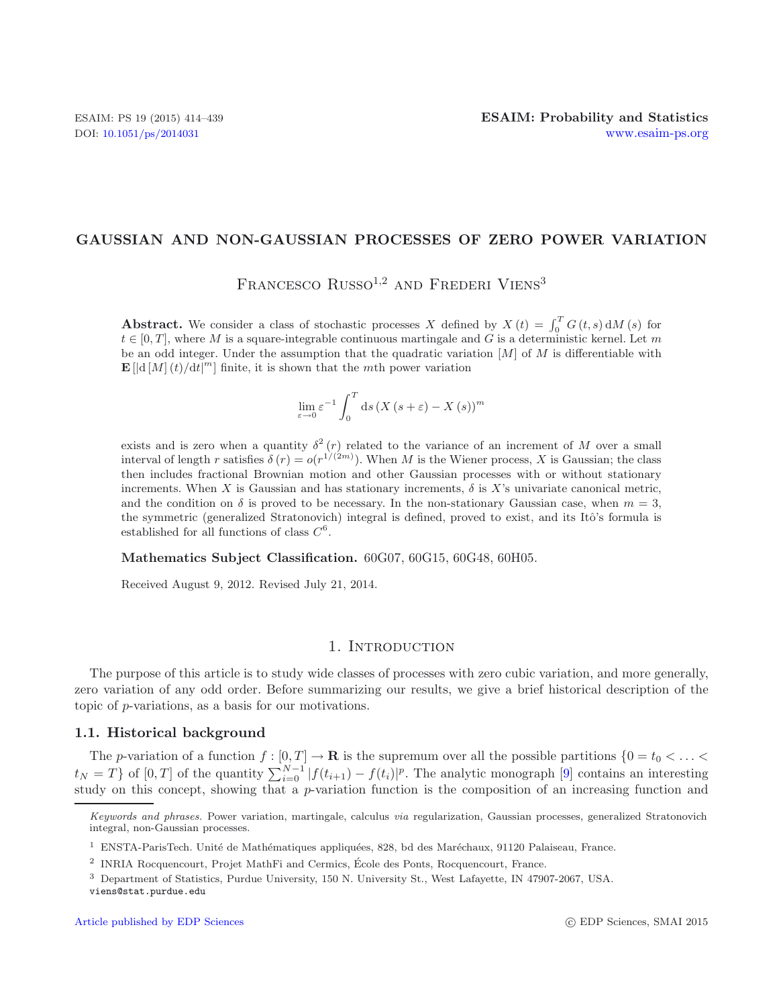## **GAUSSIAN AND NON-GAUSSIAN PROCESSES OF ZERO POWER VARIATION**

FRANCESCO RUSSO<sup>1,2</sup> AND FREDERI VIENS<sup>3</sup>

**Abstract.** We consider a class of stochastic processes X defined by  $X(t) = \int_0^T G(t, s) dM(s)$  for  $t \in [0, T]$ , where M is a square-integrable continuous martingale and G is a deterministic kernel. Let m be an odd integer. Under the assumption that the quadratic variation  $[M]$  of M is differentiable with  $\mathbf{E} \left[ \left| d \left[ M \right] (t) / \mathrm{d} t \right]^m \right]$  finite, it is shown that the *mth* power variation

$$
\lim_{\varepsilon \to 0} \varepsilon^{-1} \int_0^T ds \left( X \left( s + \varepsilon \right) - X \left( s \right) \right)^m
$$

exists and is zero when a quantity  $\delta^2(r)$  related to the variance of an increment of M over a small interval of length r satisfies  $\delta(r) = o(r^{1/(2m)})$ . When M is the Wiener process, X is Gaussian; the class then includes fractional Brownian motion and other Gaussian processes with or without stationary increments. When X is Gaussian and has stationary increments,  $\delta$  is X's univariate canonical metric, and the condition on  $\delta$  is proved to be necessary. In the non-stationary Gaussian case, when  $m = 3$ , the symmetric (generalized Stratonovich) integral is defined, proved to exist, and its Itô's formula is established for all functions of class  $C^6$ .

## **Mathematics Subject Classification.** 60G07, 60G15, 60G48, 60H05.

Received August 9, 2012. Revised July 21, 2014.

### 1. INTRODUCTION

The purpose of this article is to study wide classes of processes with zero cubic variation, and more generally, zero variation of any odd order. Before summarizing our results, we give a brief historical description of the topic of p-variations, as a basis for our motivations.

### **1.1. Historical background**

The p-variation of a function  $f : [0, T] \to \mathbf{R}$  is the supremum over all the possible partitions  $\{0 = t_0 < \ldots <$  $t_N = T$  of  $[0,T]$  of the quantity  $\sum_{i=0}^{N-1} |f(t_{i+1}) - f(t_i)|^p$ . The analytic monograph  $[9]$  $[9]$  contains an interesting study on this concept, showing that a  $p$ -variation function is the composition of an increasing function and

*Keywords and phrases.* Power variation, martingale, calculus *via* regularization, Gaussian processes, generalized Stratonovich integral, non-Gaussian processes.

 $1$  ENSTA-ParisTech. Unité de Mathématiques appliquées, 828, bd des Maréchaux, 91120 Palaiseau, France.

<sup>2</sup> INRIA Rocquencourt, Projet MathFi and Cermics, Ecole des Ponts, Rocquencourt, France. ´

<sup>3</sup> Department of Statistics, Purdue University, 150 N. University St., West Lafayette, IN 47907-2067, USA.

viens@stat.purdue.edu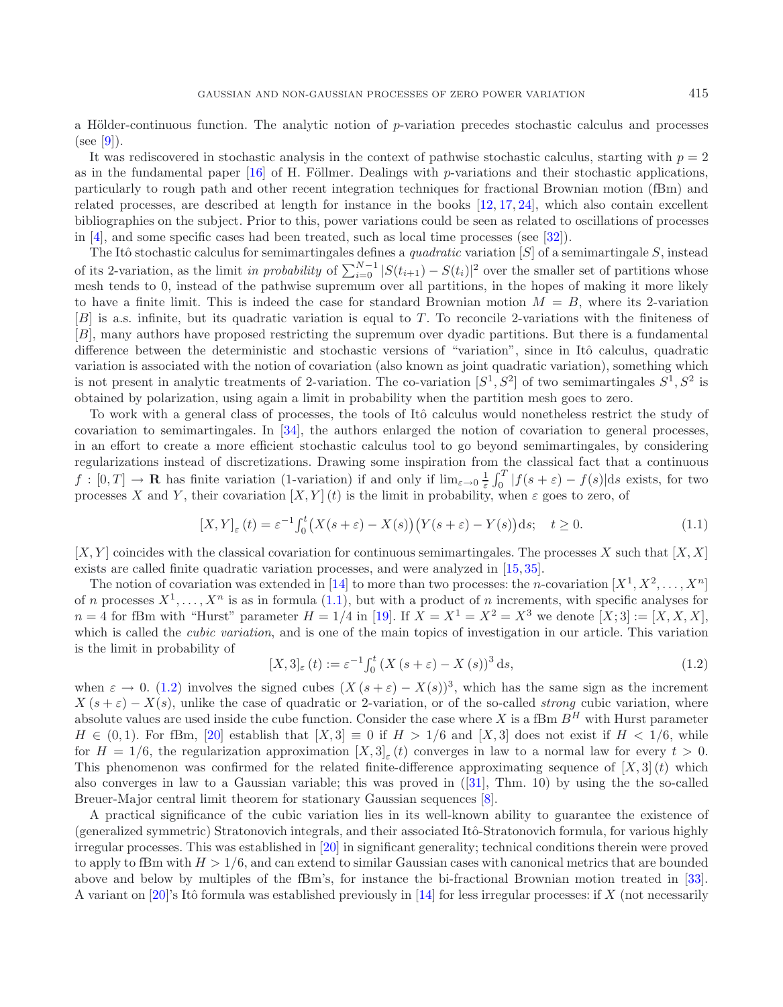a Hölder-continuous function. The analytic notion of p-variation precedes stochastic calculus and processes  $(see [9]).$  $(see [9]).$  $(see [9]).$ 

It was rediscovered in stochastic analysis in the context of pathwise stochastic calculus, starting with  $p = 2$ as in the fundamental paper  $\left[16\right]$  of H. Föllmer. Dealings with p-variations and their stochastic applications, particularly to rough path and other recent integration techniques for fractional Brownian motion (fBm) and related processes, are described at length for instance in the books [\[12,](#page-25-1) [17,](#page-25-2) [24](#page-25-3)], which also contain excellent bibliographies on the subject. Prior to this, power variations could be seen as related to oscillations of processes in [\[4](#page-24-1)], and some specific cases had been treated, such as local time processes (see [\[32\]](#page-25-4)).

The Itô stochastic calculus for semimartingales defines a *quadratic* variation  $|S|$  of a semimartingale S, instead of its 2-variation, as the limit *in probability* of  $\sum_{i=0}^{N-1} |S(t_{i+1}) - S(t_i)|^2$  over the smaller set of partitions whose mesh tends to 0, instead of the pathwise supremum over all partitions, in the hopes of making it more likely to have a finite limit. This is indeed the case for standard Brownian motion  $M = B$ , where its 2-variation  $[B]$  is a.s. infinite, but its quadratic variation is equal to T. To reconcile 2-variations with the finiteness of [B], many authors have proposed restricting the supremum over dyadic partitions. But there is a fundamental difference between the deterministic and stochastic versions of "variation", since in Itô calculus, quadratic variation is associated with the notion of covariation (also known as joint quadratic variation), something which is not present in analytic treatments of 2-variation. The co-variation  $[S^1, S^2]$  of two semimartingales  $S^1, S^2$  is obtained by polarization, using again a limit in probability when the partition mesh goes to zero.

<span id="page-1-1"></span>To work with a general class of processes, the tools of Itô calculus would nonetheless restrict the study of covariation to semimartingales. In [\[34\]](#page-25-5), the authors enlarged the notion of covariation to general processes, in an effort to create a more efficient stochastic calculus tool to go beyond semimartingales, by considering regularizations instead of discretizations. Drawing some inspiration from the classical fact that a continuous  $f: [0,T] \to \mathbf{R}$  has finite variation (1-variation) if and only if  $\lim_{\varepsilon \to 0} \frac{1}{\varepsilon} \int_0^T |f(s+\varepsilon) - f(s)| ds$  exists, for two processes X and Y, their covariation  $[X, Y](t)$  is the limit in probability, when  $\varepsilon$  goes to zero, of

<span id="page-1-0"></span>
$$
[X,Y]_{\varepsilon}(t) = \varepsilon^{-1} \int_0^t \left( X(s+\varepsilon) - X(s) \right) \left( Y(s+\varepsilon) - Y(s) \right) ds; \quad t \ge 0.
$$
\n(1.1)

 $[X, Y]$  coincides with the classical covariation for continuous semimartingales. The processes X such that  $[X, X]$ exists are called finite quadratic variation processes, and were analyzed in [\[15,](#page-25-6) [35\]](#page-25-7).

The notion of covariation was extended in [\[14\]](#page-25-8) to more than two processes: the *n*-covariation  $[X^1, X^2, \ldots, X^n]$ of n processes  $X^1, \ldots, X^n$  is as in formula [\(1.1\)](#page-1-0), but with a product of n increments, with specific analyses for  $n = 4$  for fBm with "Hurst" parameter  $H = 1/4$  in [\[19\]](#page-25-9). If  $X = X<sup>1</sup> = X<sup>2</sup> = X<sup>3</sup>$  we denote  $[X; 3] := [X, X, X]$ , which is called the *cubic variation*, and is one of the main topics of investigation in our article. This variation is the limit in probability of

$$
[X,3]_{\varepsilon}(t) := \varepsilon^{-1} \int_0^t (X(s+\varepsilon) - X(s))^3 ds,
$$
\n(1.2)

when  $\varepsilon \to 0$ . [\(1.2\)](#page-1-1) involves the signed cubes  $(X(s+\varepsilon)-X(s))^3$ , which has the same sign as the increment  $X(s+\varepsilon) - X(s)$ , unlike the case of quadratic or 2-variation, or of the so-called *strong* cubic variation, where absolute values are used inside the cube function. Consider the case where X is a fBm  $B<sup>H</sup>$  with Hurst parameter  $H \in (0,1)$ . For fBm, [\[20\]](#page-25-10) establish that  $[X,3] \equiv 0$  if  $H > 1/6$  and  $[X,3]$  does not exist if  $H < 1/6$ , while for  $H = 1/6$ , the regularization approximation  $[X, 3]_{\epsilon}(t)$  converges in law to a normal law for every  $t > 0$ . This phenomenon was confirmed for the related finite-difference approximating sequence of  $[X, 3]$  (t) which also converges in law to a Gaussian variable; this was proved in ([\[31\]](#page-25-11), Thm. 10) by using the the so-called Breuer-Major central limit theorem for stationary Gaussian sequences [\[8](#page-24-2)].

A practical significance of the cubic variation lies in its well-known ability to guarantee the existence of (generalized symmetric) Stratonovich integrals, and their associated Itô-Stratonovich formula, for various highly irregular processes. This was established in [\[20\]](#page-25-10) in significant generality; technical conditions therein were proved to apply to fBm with  $H > 1/6$ , and can extend to similar Gaussian cases with canonical metrics that are bounded above and below by multiples of the fBm's, for instance the bi-fractional Brownian motion treated in [\[33](#page-25-12)]. A variant on [\[20\]](#page-25-10)'s Itô formula was established previously in [\[14\]](#page-25-8) for less irregular processes: if X (not necessarily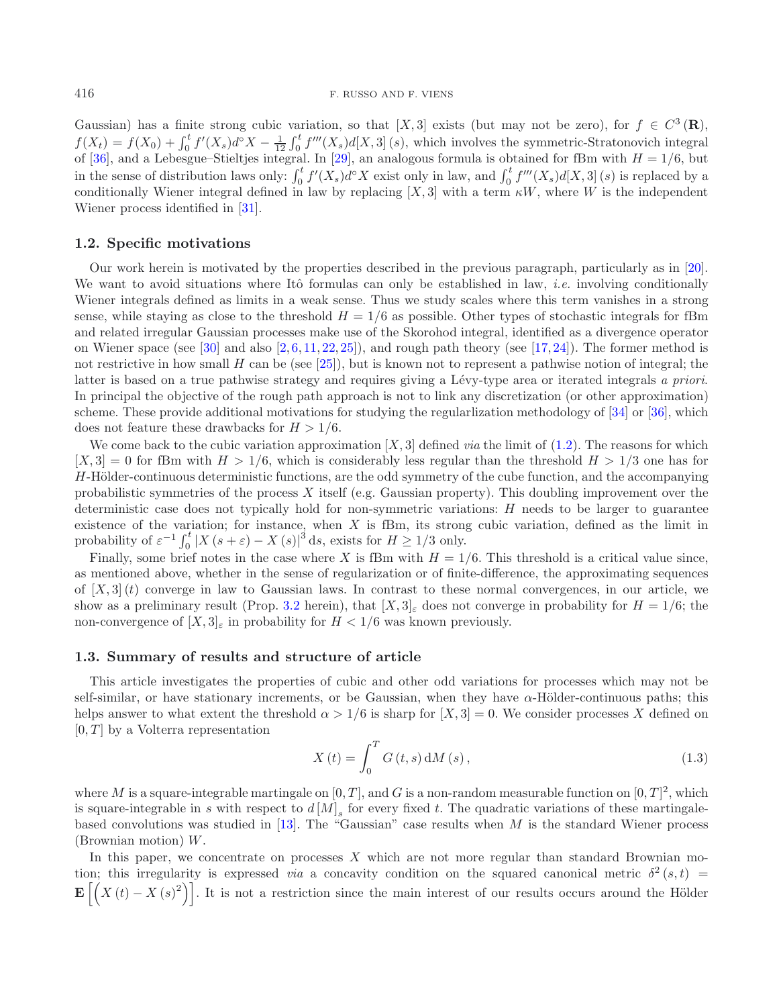Gaussian) has a finite strong cubic variation, so that [X, 3] exists (but may not be zero), for  $f \in C^3(\mathbf{R})$ ,  $f(X_t) = f(X_0) + \int_0^t f'(X_s) d^\circ X - \frac{1}{12} \int_0^t f'''(X_s) d[X,3](s)$ , which involves the symmetric-Stratonovich integral of [\[36\]](#page-25-13), and a Lebesgue–Stieltjes integral. In [\[29](#page-25-14)], an analogous formula is obtained for fBm with  $H = 1/6$ , but in the sense of distribution laws only:  $\int_0^t f'(X_s)d^{\circ}X$  exist only in law, and  $\int_0^t f'''(X_s)d[X,3](s)$  is replaced by a conditionally Wiener integral defined in law by replacing  $[X, 3]$  with a term  $\kappa W$ , where W is the independent Wiener process identified in [\[31\]](#page-25-11).

### **1.2. Specific motivations**

Our work herein is motivated by the properties described in the previous paragraph, particularly as in [\[20](#page-25-10)]. We want to avoid situations where Itô formulas can only be established in law, *i.e.* involving conditionally Wiener integrals defined as limits in a weak sense. Thus we study scales where this term vanishes in a strong sense, while staying as close to the threshold  $H = 1/6$  as possible. Other types of stochastic integrals for fBm and related irregular Gaussian processes make use of the Skorohod integral, identified as a divergence operator on Wiener space (see [\[30\]](#page-25-15) and also  $[2, 6, 11, 22, 25]$  $[2, 6, 11, 22, 25]$  $[2, 6, 11, 22, 25]$  $[2, 6, 11, 22, 25]$  $[2, 6, 11, 22, 25]$  $[2, 6, 11, 22, 25]$  $[2, 6, 11, 22, 25]$  $[2, 6, 11, 22, 25]$  $[2, 6, 11, 22, 25]$ ), and rough path theory (see [\[17,](#page-25-2) [24\]](#page-25-3)). The former method is not restrictive in how small H can be (see [\[25](#page-25-17)]), but is known not to represent a pathwise notion of integral; the latter is based on a true pathwise strategy and requires giving a L´evy-type area or iterated integrals *a priori*. In principal the objective of the rough path approach is not to link any discretization (or other approximation) scheme. These provide additional motivations for studying the regularlization methodology of [\[34](#page-25-5)] or [\[36](#page-25-13)], which does not feature these drawbacks for  $H > 1/6$ .

We come back to the cubic variation approximation  $[X, 3]$  defined *via* the limit of  $(1.2)$ . The reasons for which  $[X, 3] = 0$  for fBm with  $H > 1/6$ , which is considerably less regular than the threshold  $H > 1/3$  one has for  $H$ -Hölder-continuous deterministic functions, are the odd symmetry of the cube function, and the accompanying probabilistic symmetries of the process X itself (e.g. Gaussian property). This doubling improvement over the deterministic case does not typically hold for non-symmetric variations:  $H$  needs to be larger to guarantee existence of the variation; for instance, when  $X$  is fBm, its strong cubic variation, defined as the limit in probability of  $\varepsilon^{-1} \int_0^t |X(s+\varepsilon) - X(s)|^3 ds$ , exists for  $H \ge 1/3$  only.

<span id="page-2-0"></span>Finally, some brief notes in the case where X is fBm with  $H = 1/6$ . This threshold is a critical value since, as mentioned above, whether in the sense of regularization or of finite-difference, the approximating sequences of  $[X, 3](t)$  converge in law to Gaussian laws. In contrast to these normal convergences, in our article, we show as a preliminary result (Prop. [3.2](#page-5-0) herein), that  $[X, 3]_{\varepsilon}$  does not converge in probability for  $H = 1/6$ ; the non-convergence of  $[X, 3]_{\varepsilon}$  in probability for  $H < 1/6$  was known previously.

### **1.3. Summary of results and structure of article**

This article investigates the properties of cubic and other odd variations for processes which may not be self-similar, or have stationary increments, or be Gaussian, when they have  $\alpha$ -Hölder-continuous paths; this helps answer to what extent the threshold  $\alpha > 1/6$  is sharp for  $[X, 3] = 0$ . We consider processes X defined on  $[0, T]$  by a Volterra representation

$$
X(t) = \int_0^T G(t, s) dM(s),
$$
\n(1.3)

where M is a square-integrable martingale on  $[0, T]$ , and G is a non-random measurable function on  $[0, T]^2$ , which is square-integrable in s with respect to  $d[M]_s$  for every fixed t. The quadratic variations of these martingale-based convolutions was studied in [\[13\]](#page-25-18). The "Gaussian" case results when M is the standard Wiener process (Brownian motion) W.

In this paper, we concentrate on processes  $X$  which are not more regular than standard Brownian motion; this irregularity is expressed *via* a concavity condition on the squared canonical metric  $\delta^2(s,t)$  $\mathbf{E}\left[\left(X(t)-X(s)^2\right)\right]$ . It is not a restriction since the main interest of our results occurs around the Hölder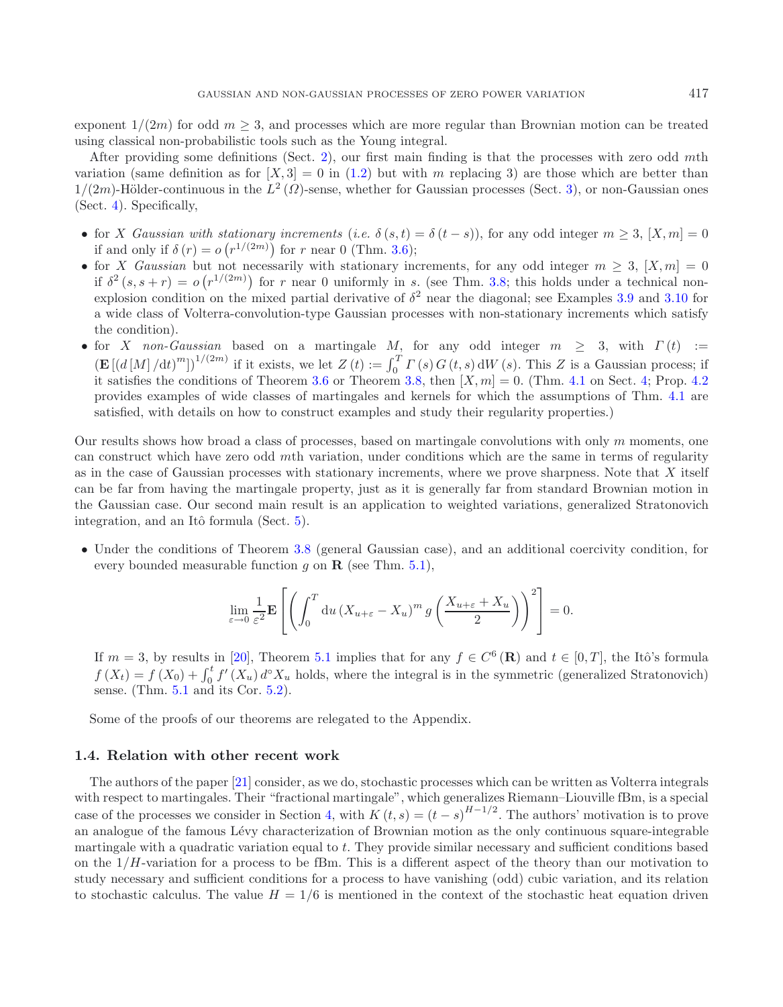exponent  $1/(2m)$  for odd  $m \geq 3$ , and processes which are more regular than Brownian motion can be treated using classical non-probabilistic tools such as the Young integral.

After providing some definitions (Sect. [2\)](#page-4-0), our first main finding is that the processes with zero odd mth variation (same definition as for  $[X, 3] = 0$  in [\(1.2\)](#page-1-1) but with m replacing 3) are those which are better than  $1/(2m)$ -Hölder-continuous in the  $L^2(\Omega)$ -sense, whether for Gaussian processes (Sect. [3\)](#page-5-1), or non-Gaussian ones (Sect. [4\)](#page-11-0). Specifically,

- for X *Gaussian with stationary increments* (*i.e.*  $\delta(s,t) = \delta(t-s)$ ), for any odd integer  $m \geq 3$ ,  $[X,m] = 0$ if and only if  $\delta(r) = o(r^{1/(2m)})$  for r near 0 (Thm. [3.6\)](#page-6-0);
- for X *Gaussian* but not necessarily with stationary increments, for any odd integer  $m \geq 3$ ,  $[X,m]=0$ if  $\delta^2(s, s+r) = o(r^{1/(2m)})$  for r near 0 uniformly in s. (see Thm. [3.8;](#page-10-0) this holds under a technical nonexplosion condition on the mixed partial derivative of  $\delta^2$  near the diagonal; see Examples [3.9](#page-10-1) and [3.10](#page-11-1) for a wide class of Volterra-convolution-type Gaussian processes with non-stationary increments which satisfy the condition).
- for X *non-Gaussian* based on a martingale M, for any odd integer  $m \geq 3$ , with  $\Gamma(t) :=$  $(\mathbf{E}[(d[M]/dt)^m])^{1/(2m)}$  if it exists, we let  $Z(t) := \int_0^T \Gamma(s) G(t, s) dW(s)$ . This Z is a Gaussian process; if it satisfies the conditions of Theorem [3.6](#page-6-0) or Theorem [3.8,](#page-10-0) then  $[X,m] = 0$ . (Thm. [4.1](#page-11-2) on Sect. [4;](#page-11-0) Prop. [4.2](#page-11-3) provides examples of wide classes of martingales and kernels for which the assumptions of Thm. [4.1](#page-11-2) are satisfied, with details on how to construct examples and study their regularity properties.)

Our results shows how broad a class of processes, based on martingale convolutions with only  $m$  moments, one can construct which have zero odd mth variation, under conditions which are the same in terms of regularity as in the case of Gaussian processes with stationary increments, where we prove sharpness. Note that X itself can be far from having the martingale property, just as it is generally far from standard Brownian motion in the Gaussian case. Our second main result is an application to weighted variations, generalized Stratonovich integration, and an Itô formula (Sect.  $5$ ).

• Under the conditions of Theorem [3.8](#page-10-0) (general Gaussian case), and an additional coercivity condition, for every bounded measurable function  $q$  on  $\mathbf{R}$  (see Thm. [5.1\)](#page-13-1),

$$
\lim_{\varepsilon \to 0} \frac{1}{\varepsilon^2} \mathbf{E} \left[ \left( \int_0^T du \left( X_{u+\varepsilon} - X_u \right)^m g \left( \frac{X_{u+\varepsilon} + X_u}{2} \right) \right)^2 \right] = 0.
$$

If  $m = 3$ , by results in [\[20\]](#page-25-10), Theorem [5.1](#page-13-1) implies that for any  $f \in C^6(\mathbf{R})$  and  $t \in [0, T]$ , the Itô's formula  $f(X_t) = f(X_0) + \int_0^t f'(X_u) d^{\circ} X_u$  holds, where the integral is in the symmetric (generalized Stratonovich) sense. (Thm. [5.1](#page-13-1) and its Cor. [5.2\)](#page-14-0).

Some of the proofs of our theorems are relegated to the Appendix.

### **1.4. Relation with other recent work**

The authors of the paper [\[21\]](#page-25-19) consider, as we do, stochastic processes which can be written as Volterra integrals with respect to martingales. Their "fractional martingale", which generalizes Riemann–Liouville fBm, is a special case of the processes we consider in Section [4,](#page-11-0) with  $K(t,s)=(t-s)^{H-1/2}$ . The authors' motivation is to prove an analogue of the famous Lévy characterization of Brownian motion as the only continuous square-integrable martingale with a quadratic variation equal to t. They provide similar necessary and sufficient conditions based on the  $1/H$ -variation for a process to be fBm. This is a different aspect of the theory than our motivation to study necessary and sufficient conditions for a process to have vanishing (odd) cubic variation, and its relation to stochastic calculus. The value  $H = 1/6$  is mentioned in the context of the stochastic heat equation driven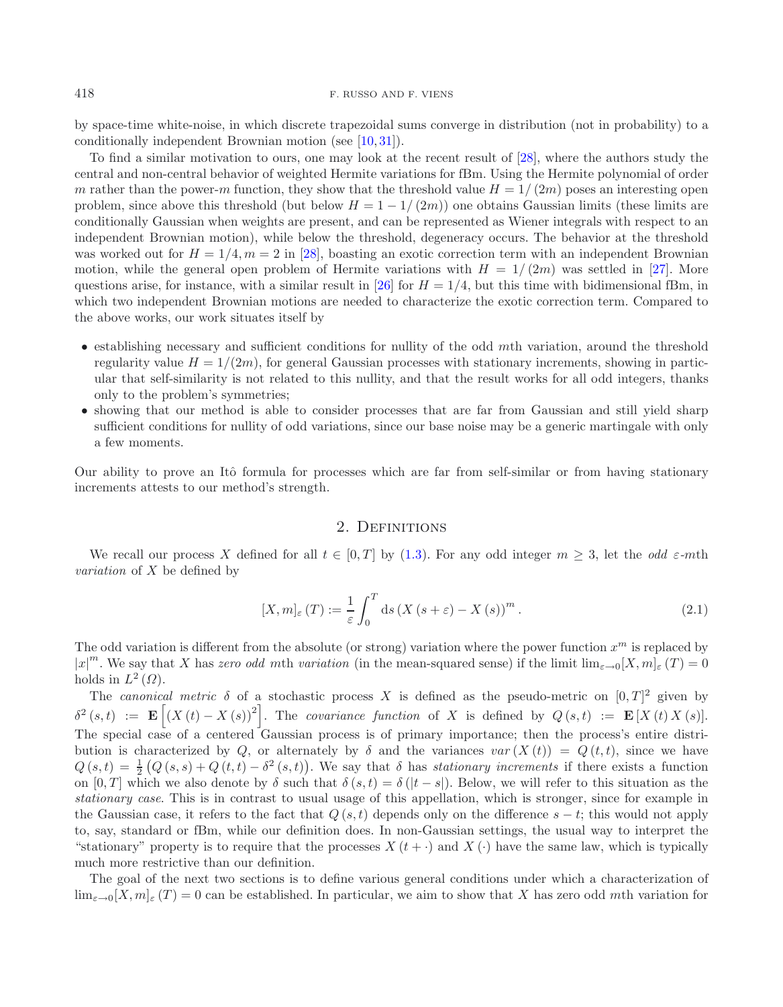by space-time white-noise, in which discrete trapezoidal sums converge in distribution (not in probability) to a conditionally independent Brownian motion (see [\[10](#page-24-6), [31](#page-25-11)]).

To find a similar motivation to ours, one may look at the recent result of [\[28\]](#page-25-20), where the authors study the central and non-central behavior of weighted Hermite variations for fBm. Using the Hermite polynomial of order m rather than the power-m function, they show that the threshold value  $H = 1/(2m)$  poses an interesting open problem, since above this threshold (but below  $H = 1 - 1/(2m)$ ) one obtains Gaussian limits (these limits are conditionally Gaussian when weights are present, and can be represented as Wiener integrals with respect to an independent Brownian motion), while below the threshold, degeneracy occurs. The behavior at the threshold was worked out for  $H = 1/4, m = 2$  in [\[28\]](#page-25-20), boasting an exotic correction term with an independent Brownian motion, while the general open problem of Hermite variations with  $H = 1/(2m)$  was settled in [\[27](#page-25-21)]. More questions arise, for instance, with a similar result in [\[26\]](#page-25-22) for  $H = 1/4$ , but this time with bidimensional fBm, in which two independent Brownian motions are needed to characterize the exotic correction term. Compared to the above works, our work situates itself by

- <span id="page-4-1"></span>• establishing necessary and sufficient conditions for nullity of the odd mth variation, around the threshold regularity value  $H = 1/(2m)$ , for general Gaussian processes with stationary increments, showing in particular that self-similarity is not related to this nullity, and that the result works for all odd integers, thanks only to the problem's symmetries;
- showing that our method is able to consider processes that are far from Gaussian and still yield sharp sufficient conditions for nullity of odd variations, since our base noise may be a generic martingale with only a few moments.

<span id="page-4-0"></span>Our ability to prove an Itô formula for processes which are far from self-similar or from having stationary increments attests to our method's strength.

# 2. DEFINITIONS

We recall our process X defined for all  $t \in [0, T]$  by [\(1.3\)](#page-2-0). For any odd integer  $m \geq 3$ , let the *odd*  $\varepsilon$ -mth *variation* of X be defined by

$$
[X,m]_{\varepsilon}(T) := \frac{1}{\varepsilon} \int_0^T ds \left(X\left(s+\varepsilon\right) - X\left(s\right)\right)^m.
$$
\n(2.1)

The odd variation is different from the absolute (or strong) variation where the power function  $x^m$  is replaced by  $|x|^m$ . We say that X has *zero odd mth variation* (in the mean-squared sense) if the limit  $\lim_{\varepsilon\to 0} [X,m]_{\varepsilon}(T) = 0$ holds in  $L^2(\Omega)$ .

The *canonical metric*  $\delta$  of a stochastic process X is defined as the pseudo-metric on  $[0, T]^2$  given by  $\delta^2(s,t) := \mathbf{E} \left[ (X(t) - X(s))^2 \right]$ . The *covariance function* of X is defined by  $Q(s,t) := \mathbf{E} [X(t) X(s)]$ . The special case of a centered Gaussian process is of primary importance; then the process's entire distribution is characterized by Q, or alternately by  $\delta$  and the variances  $var(X(t)) = Q(t, t)$ , since we have  $Q(s,t) = \frac{1}{2} (Q(s,s) + Q(t,t) - \delta^2(s,t))$ . We say that  $\delta$  has *stationary increments* if there exists a function on [0, T] which we also denote by  $\delta$  such that  $\delta(s,t) = \delta(|t-s|)$ . Below, we will refer to this situation as the *stationary case*. This is in contrast to usual usage of this appellation, which is stronger, since for example in the Gaussian case, it refers to the fact that  $Q(s, t)$  depends only on the difference  $s - t$ ; this would not apply to, say, standard or fBm, while our definition does. In non-Gaussian settings, the usual way to interpret the "stationary" property is to require that the processes  $X(t+)$  and  $X(t)$  have the same law, which is typically much more restrictive than our definition.

The goal of the next two sections is to define various general conditions under which a characterization of  $\lim_{\varepsilon\to 0}[X,m]_{\varepsilon}(T)=0$  can be established. In particular, we aim to show that X has zero odd mth variation for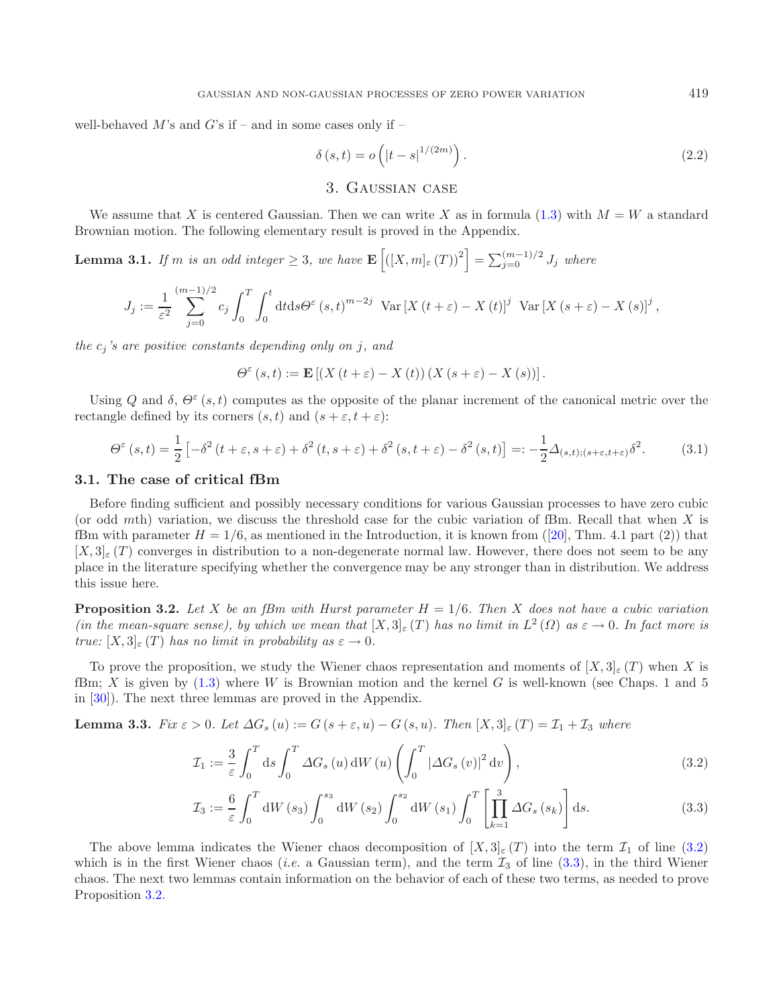well-behaved  $M$ 's and  $G$ 's if – and in some cases only if –

$$
\delta(s,t) = o\left(|t-s|^{1/(2m)}\right). \tag{2.2}
$$

# <span id="page-5-7"></span>3. Gaussian case

<span id="page-5-6"></span><span id="page-5-1"></span>We assume that X is centered Gaussian. Then we can write X as in formula [\(1.3\)](#page-2-0) with  $M = W$  a standard Brownian motion. The following elementary result is proved in the Appendix.

**Lemma 3.1.** *If* m *is an odd integer*  $\geq 3$ *, we have*  $\mathbf{E}\left[\left([X,m]_{\varepsilon}(T)\right)^{2}\right] = \sum_{j=0}^{(m-1)/2} J_{j}$  where

$$
J_j := \frac{1}{\varepsilon^2} \sum_{j=0}^{(m-1)/2} c_j \int_0^T \int_0^t dt ds \Theta^{\varepsilon}(s,t)^{m-2j} \operatorname{Var}\left[X\left(t+\varepsilon\right)-X\left(t\right)\right]^j \operatorname{Var}\left[X\left(s+\varepsilon\right)-X\left(s\right)\right]^j,
$$

*the*  $c_j$ 's are positive constants depending only on j, and

<span id="page-5-2"></span>
$$
\Theta^{\varepsilon}\left(s,t\right):=\mathbf{E}\left[\left(X\left(t+\varepsilon\right)-X\left(t\right)\right)\left(X\left(s+\varepsilon\right)-X\left(s\right)\right)\right].
$$

Using Q and  $\delta$ ,  $\Theta^{\varepsilon}(s,t)$  computes as the opposite of the planar increment of the canonical metric over the rectangle defined by its corners  $(s, t)$  and  $(s + \varepsilon, t + \varepsilon)$ :

$$
\Theta^{\varepsilon}(s,t) = \frac{1}{2} \left[ -\delta^{2} \left( t + \varepsilon, s + \varepsilon \right) + \delta^{2} \left( t, s + \varepsilon \right) + \delta^{2} \left( s, t + \varepsilon \right) - \delta^{2} \left( s, t \right) \right] =: -\frac{1}{2} \Delta_{(s,t);(s+\varepsilon,t+\varepsilon)} \delta^{2}.
$$
 (3.1)

#### **3.1. The case of critical fBm**

Before finding sufficient and possibly necessary conditions for various Gaussian processes to have zero cubic (or odd mth) variation, we discuss the threshold case for the cubic variation of fBm. Recall that when  $X$  is fBm with parameter  $H = 1/6$ , as mentioned in the Introduction, it is known from ([\[20\]](#page-25-10), Thm. 4.1 part (2)) that  $[X, 3]_{\epsilon}(T)$  converges in distribution to a non-degenerate normal law. However, there does not seem to be any place in the literature specifying whether the convergence may be any stronger than in distribution. We address this issue here.

<span id="page-5-0"></span>**Proposition 3.2.** *Let* X *be an fBm with Hurst parameter* H = 1/6*. Then* X *does not have a cubic variation (in the mean-square sense), by which we mean that*  $[X,3]_{\varepsilon}(T)$  *has no limit in*  $L^2(\Omega)$  *as*  $\varepsilon \to 0$ *. In fact more is true:*  $[X, 3]_{\epsilon}(T)$  *has no limit in probability as*  $\epsilon \to 0$ *.* 

To prove the proposition, we study the Wiener chaos representation and moments of  $[X, 3]_{\epsilon}(T)$  when X is fBm; X is given by  $(1.3)$  where W is Brownian motion and the kernel G is well-known (see Chaps. 1 and 5 in [\[30](#page-25-15)]). The next three lemmas are proved in the Appendix.

<span id="page-5-4"></span>**Lemma 3.3.** *Fix*  $\varepsilon > 0$ *. Let*  $\Delta G_s(u) := G(s + \varepsilon, u) - G(s, u)$ *. Then*  $[X, 3]_{\varepsilon}(T) = \mathcal{I}_1 + \mathcal{I}_3$  *where* 

<span id="page-5-3"></span>
$$
\mathcal{I}_1 := \frac{3}{\varepsilon} \int_0^T ds \int_0^T \Delta G_s(u) \, dW(u) \left( \int_0^T |\Delta G_s(v)|^2 dv \right),\tag{3.2}
$$

$$
\mathcal{I}_3 := \frac{6}{\varepsilon} \int_0^T \mathrm{d}W(s_3) \int_0^{s_3} \mathrm{d}W(s_2) \int_0^{s_2} \mathrm{d}W(s_1) \int_0^T \left[ \prod_{k=1}^3 \Delta G_s(s_k) \right] \mathrm{d}s. \tag{3.3}
$$

<span id="page-5-5"></span>The above lemma indicates the Wiener chaos decomposition of  $[X, 3]_{\epsilon}(T)$  into the term  $\mathcal{I}_1$  of line [\(3.2\)](#page-5-2) which is in the first Wiener chaos *(i.e.* a Gaussian term), and the term  $\mathcal{I}_3$  of line [\(3.3\)](#page-5-3), in the third Wiener chaos. The next two lemmas contain information on the behavior of each of these two terms, as needed to prove Proposition [3.2.](#page-5-0)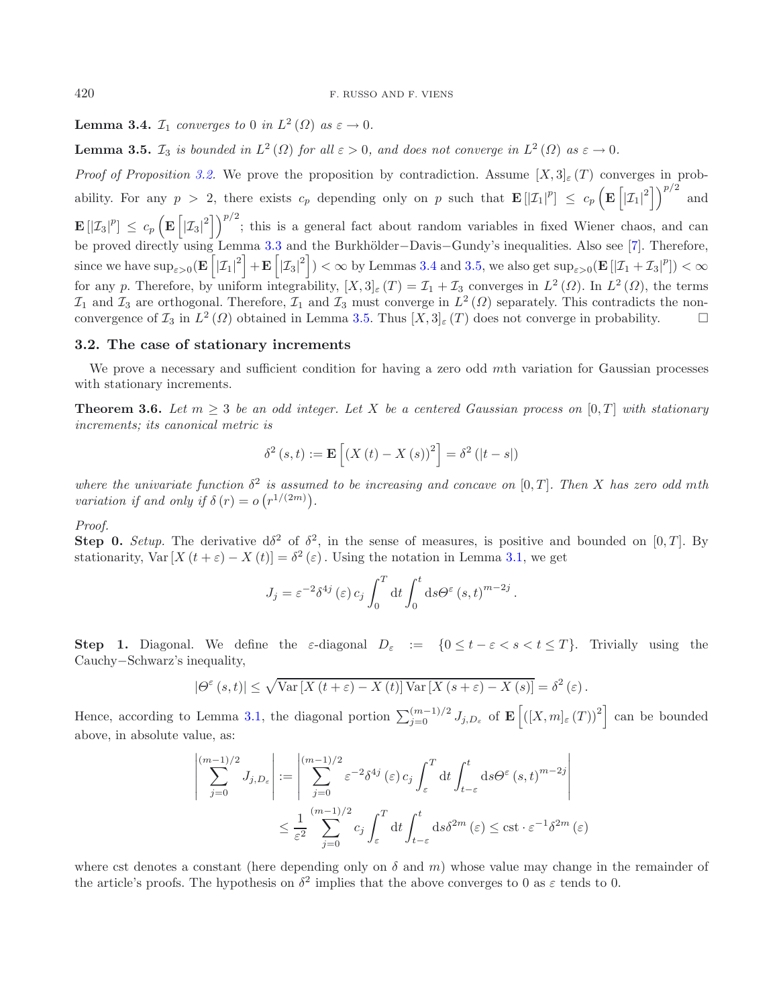<span id="page-6-1"></span>**Lemma 3.4.**  $\mathcal{I}_1$  *converges to* 0 *in*  $L^2(\Omega)$  *as*  $\varepsilon \to 0$ *.* 

**Lemma 3.5.**  $\mathcal{I}_3$  *is bounded in*  $L^2(\Omega)$  *for all*  $\varepsilon > 0$ *, and does not converge in*  $L^2(\Omega)$  *as*  $\varepsilon \to 0$ *.* 

*Proof of Proposition* [3.2.](#page-5-0) We prove the proposition by contradiction. Assume  $[X, 3]_{\epsilon}(T)$  converges in probability. For any  $p > 2$ , there exists  $c_p$  depending only on p such that  $\mathbf{E} [X_1|^p] \leq c_p \left( \mathbf{E} \left[ |X_1|^2 \right] \right)^{p/2}$  and  $\mathbf{E} [I_{3}|^{p}] \leq c_{p} \left( \mathbf{E} \left[ |Z_{3}|^{2} \right] \right)^{p/2}$ ; this is a general fact about random variables in fixed Wiener chaos, and can be proved directly using Lemma [3.3](#page-5-4) and the Burkhölder-Davis-Gundy's inequalities. Also see [\[7\]](#page-24-7). Therefore,  $\text{since we have } \sup_{\varepsilon>0} (\mathbf{E} \left[ |\mathcal{I}_1|^2 \right] + \mathbf{E} \left[ |\mathcal{I}_3|^2 \right] ) < \infty \text{ by Lemmas 3.4 and 3.5, we also get } \sup_{\varepsilon>0} (\mathbf{E} \left[ |\mathcal{I}_1 + \mathcal{I}_3|^p \right] ) < \infty$  $\text{since we have } \sup_{\varepsilon>0} (\mathbf{E} \left[ |\mathcal{I}_1|^2 \right] + \mathbf{E} \left[ |\mathcal{I}_3|^2 \right] ) < \infty \text{ by Lemmas 3.4 and 3.5, we also get } \sup_{\varepsilon>0} (\mathbf{E} \left[ |\mathcal{I}_1 + \mathcal{I}_3|^p \right] ) < \infty$  $\text{since we have } \sup_{\varepsilon>0} (\mathbf{E} \left[ |\mathcal{I}_1|^2 \right] + \mathbf{E} \left[ |\mathcal{I}_3|^2 \right] ) < \infty \text{ by Lemmas 3.4 and 3.5, we also get } \sup_{\varepsilon>0} (\mathbf{E} \left[ |\mathcal{I}_1 + \mathcal{I}_3|^p \right] ) < \infty$  $\text{since we have } \sup_{\varepsilon>0} (\mathbf{E} \left[ |\mathcal{I}_1|^2 \right] + \mathbf{E} \left[ |\mathcal{I}_3|^2 \right] ) < \infty \text{ by Lemmas 3.4 and 3.5, we also get } \sup_{\varepsilon>0} (\mathbf{E} \left[ |\mathcal{I}_1 + \mathcal{I}_3|^p \right] ) < \infty$  $\text{since we have } \sup_{\varepsilon>0} (\mathbf{E} \left[ |\mathcal{I}_1|^2 \right] + \mathbf{E} \left[ |\mathcal{I}_3|^2 \right] ) < \infty \text{ by Lemmas 3.4 and 3.5, we also get } \sup_{\varepsilon>0} (\mathbf{E} \left[ |\mathcal{I}_1 + \mathcal{I}_3|^p \right] ) < \infty$ for any p. Therefore, by uniform integrability,  $[X, 3] \in (T) = \mathcal{I}_1 + \mathcal{I}_3$  converges in  $L^2(\Omega)$ . In  $L^2(\Omega)$ , the terms  $\mathcal{I}_1$  and  $\mathcal{I}_3$  are orthogonal. Therefore,  $\mathcal{I}_1$  and  $\mathcal{I}_3$  must converge in  $L^2(\Omega)$  separately. This contradicts the nonconvergence of  $\mathcal{I}_3$  in  $L^2(\Omega)$  obtained in Lemma [3.5.](#page-6-1) Thus  $[X,3]_{\varepsilon}(T)$  does not converge in probability.  $\Box$ 

### <span id="page-6-2"></span>**3.2. The case of stationary increments**

<span id="page-6-0"></span>We prove a necessary and sufficient condition for having a zero odd mth variation for Gaussian processes with stationary increments.

**Theorem 3.6.** *Let*  $m \geq 3$  *be an odd integer. Let* X *be a centered Gaussian process on* [0, T] *with stationary increments; its canonical metric is*

$$
\delta^{2}(s,t) := \mathbf{E}\left[\left(X(t) - X(s)\right)^{2}\right] = \delta^{2}\left(|t - s|\right)
$$

*where the univariate function*  $\delta^2$  *is assumed to be increasing and concave on* [0, T]. Then X has zero odd mth *variation if and only if*  $\delta(r) = o(r^{1/(2m)})$ .

*Proof.*

**Step 0.** *Setup.* The derivative  $d\delta^2$  of  $\delta^2$ , in the sense of measures, is positive and bounded on [0, T]. By stationarity, Var  $[X(t+\varepsilon)-X(t)] = \delta^2(\varepsilon)$ . Using the notation in Lemma [3.1,](#page-5-6) we get

$$
J_j = \varepsilon^{-2} \delta^{4j} (\varepsilon) c_j \int_0^T dt \int_0^t ds \Theta^{\varepsilon} (s, t)^{m-2j}.
$$

**Step 1.** Diagonal. We define the  $\varepsilon$ -diagonal  $D_{\varepsilon} := \{0 \leq t - \varepsilon < s < t \leq T\}$ . Trivially using the Cauchy−Schwarz's inequality,

$$
|\Theta^{\varepsilon}(s,t)| \leq \sqrt{\text{Var}\left[X\left(t+\varepsilon\right) - X\left(t\right)\right]\text{Var}\left[X\left(s+\varepsilon\right) - X\left(s\right)\right]} = \delta^{2}\left(\varepsilon\right).
$$

Hence, according to Lemma [3.1,](#page-5-6) the diagonal portion  $\sum_{j=0}^{(m-1)/2} J_{j,D_{\varepsilon}}$  of  $\mathbf{E} \left[ \left( [X,m]_{\varepsilon} (T) \right)^2 \right]$  can be bounded above, in absolute value, as:

$$
\begin{aligned}\n\left| \sum_{j=0}^{(m-1)/2} J_{j,D_{\varepsilon}} \right| &:= \left| \sum_{j=0}^{(m-1)/2} \varepsilon^{-2} \delta^{4j} \left( \varepsilon \right) c_j \int_{\varepsilon}^{T} \mathrm{d}t \int_{t-\varepsilon}^{t} \mathrm{d}s \Theta^{\varepsilon} \left( s, t \right)^{m-2j} \\
&\le \frac{1}{\varepsilon^2} \sum_{j=0}^{(m-1)/2} c_j \int_{\varepsilon}^{T} \mathrm{d}t \int_{t-\varepsilon}^{t} \mathrm{d}s \delta^{2m} \left( \varepsilon \right) \le \mathrm{cst} \cdot \varepsilon^{-1} \delta^{2m} \left( \varepsilon \right)\n\end{aligned}
$$

where cst denotes a constant (here depending only on  $\delta$  and m) whose value may change in the remainder of the article's proofs. The hypothesis on  $\delta^2$  implies that the above converges to 0 as  $\varepsilon$  tends to 0.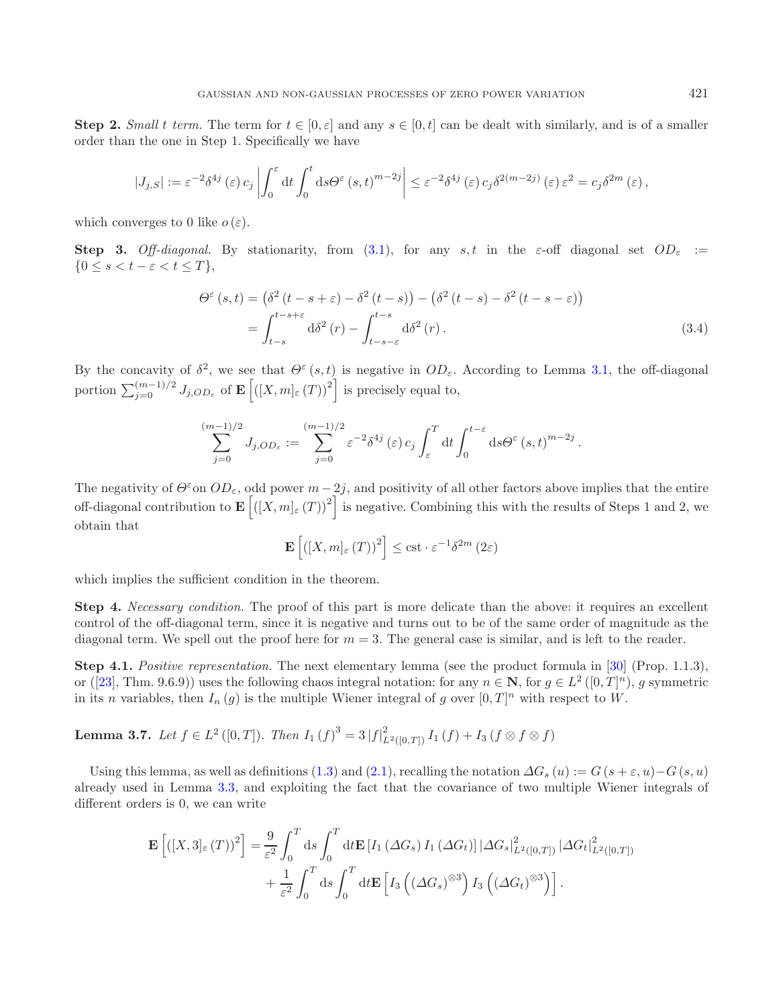**Step 2.** *Small* t *term*. The term for  $t \in [0, \varepsilon]$  and any  $s \in [0, t]$  can be dealt with similarly, and is of a smaller order than the one in Step 1. Specifically we have

$$
|J_{j,S}| := \varepsilon^{-2} \delta^{4j}(\varepsilon) c_j \left| \int_0^{\varepsilon} dt \int_0^t ds \Theta^{\varepsilon}(s,t)^{m-2j} \right| \leq \varepsilon^{-2} \delta^{4j}(\varepsilon) c_j \delta^{2(m-2j)}(\varepsilon) \varepsilon^2 = c_j \delta^{2m}(\varepsilon),
$$

which converges to 0 like  $o(\varepsilon)$ .

**Step 3.** *Off-diagonal.* By stationarity, from [\(3.1\)](#page-5-7), for any s, t in the  $\varepsilon$ -off diagonal set  $OD_{\varepsilon}$  :=  ${0 \leq s < t - \varepsilon < t \leq T},$ 

<span id="page-7-0"></span>
$$
\Theta^{\varepsilon}(s,t) = \left(\delta^{2}(t-s+\varepsilon)-\delta^{2}(t-s)\right)-\left(\delta^{2}(t-s)-\delta^{2}(t-s-\varepsilon)\right)
$$

$$
=\int_{t-s}^{t-s+\varepsilon} d\delta^{2}(r)-\int_{t-s-\varepsilon}^{t-s} d\delta^{2}(r). \tag{3.4}
$$

By the concavity of  $\delta^2$ , we see that  $\Theta^{\varepsilon}(s,t)$  is negative in  $OD_{\varepsilon}$ . According to Lemma [3.1,](#page-5-6) the off-diagonal portion  $\sum_{j=0}^{(m-1)/2} J_{j,OD_\varepsilon}$  of  $\mathbf{E} \left| \left( [X,m]_\varepsilon(T) \right)^2 \right|$  is precisely equal to,

$$
\sum_{j=0}^{(m-1)/2} J_{j,OD_{\varepsilon}} := \sum_{j=0}^{(m-1)/2} \varepsilon^{-2} \delta^{4j} (\varepsilon) c_j \int_{\varepsilon}^T dt \int_0^{t-\varepsilon} ds \Theta^{\varepsilon}(s,t)^{m-2j}.
$$

The negativity of  $\Theta^{\varepsilon}$  on  $OD_{\varepsilon}$ , odd power  $m-2j$ , and positivity of all other factors above implies that the entire off-diagonal contribution to  $\mathbf{E} \left[ (X,m]_{\varepsilon} (T) \right]^2$  is negative. Combining this with the results of Steps 1 and 2, we obtain that

$$
\mathbf{E}\left[\left(\left[X,m\right]_{\varepsilon}\left(T\right)\right)^{2}\right] \leq \mathrm{cst} \cdot \varepsilon^{-1} \delta^{2m} \left(2\varepsilon\right)
$$

which implies the sufficient condition in the theorem.

**Step 4.** *Necessary condition.* The proof of this part is more delicate than the above: it requires an excellent control of the off-diagonal term, since it is negative and turns out to be of the same order of magnitude as the diagonal term. We spell out the proof here for  $m = 3$ . The general case is similar, and is left to the reader.

**Step 4.1.** *Positive representation.* The next elementary lemma (see the product formula in [\[30\]](#page-25-15) (Prop. 1.1.3), or ([\[23](#page-25-23)], Thm. 9.6.9)) uses the following chaos integral notation: for any  $n \in \mathbb{N}$ , for  $g \in L^2([0,T]^n)$ , g symmetric in its n variables, then  $I_n(g)$  is the multiple Wiener integral of g over  $[0, T]^n$  with respect to W.

**Lemma 3.7.** *Let*  $f \in L^2([0, T])$ *. Then*  $I_1(f)^3 = 3 |f|_{L^2([0, T])}^2 I_1(f) + I_3(f \otimes f \otimes f)$ 

Using this lemma, as well as definitions [\(1.3\)](#page-2-0) and [\(2.1\)](#page-4-1), recalling the notation  $\Delta G_s(u) := G(s + \varepsilon, u) - G(s, u)$ already used in Lemma [3.3,](#page-5-4) and exploiting the fact that the covariance of two multiple Wiener integrals of different orders is 0, we can write

$$
\mathbf{E}\left[\left([X,3]_{\varepsilon}(T)\right)^{2}\right] = \frac{9}{\varepsilon^{2}} \int_{0}^{T} ds \int_{0}^{T} dt \mathbf{E}\left[I_{1}\left(\Delta G_{s}\right)I_{1}\left(\Delta G_{t}\right)\right] \left|\Delta G_{s}\right|_{L^{2}([0,T])}^{2} \left|\Delta G_{t}\right|_{L^{2}([0,T])}^{2} + \frac{1}{\varepsilon^{2}} \int_{0}^{T} ds \int_{0}^{T} dt \mathbf{E}\left[I_{3}\left(\left(\Delta G_{s}\right)^{\otimes3}\right)I_{3}\left(\left(\Delta G_{t}\right)^{\otimes3}\right)\right].
$$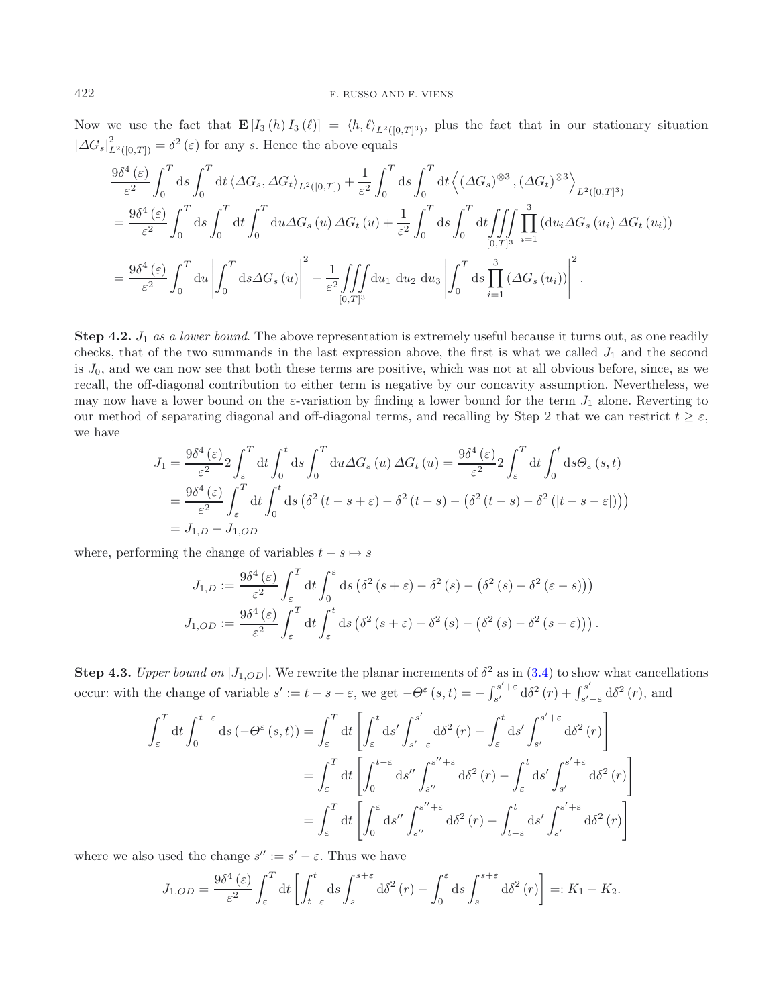Now we use the fact that  $\mathbf{E}[I_3(h) I_3(\ell)] = \langle h, \ell \rangle_{L^2([0,T]^3)}$ , plus the fact that in our stationary situation  $|\Delta G_s|_{L^2([0,T])}^2 = \delta^2(\varepsilon)$  for any s. Hence the above equals

$$
\frac{9\delta^4(\varepsilon)}{\varepsilon^2} \int_0^T ds \int_0^T dt \langle \Delta G_s, \Delta G_t \rangle_{L^2([0,T])} + \frac{1}{\varepsilon^2} \int_0^T ds \int_0^T dt \langle (\Delta G_s)^{\otimes3}, (\Delta G_t)^{\otimes3} \rangle_{L^2([0,T]^3)}
$$
  
\n
$$
= \frac{9\delta^4(\varepsilon)}{\varepsilon^2} \int_0^T ds \int_0^T dt \int_0^T du \Delta G_s(u) \Delta G_t(u) + \frac{1}{\varepsilon^2} \int_0^T ds \int_0^T dt \iiint_{[0,T]^3} \prod_{i=1}^3 (du_i \Delta G_s(u_i) \Delta G_t(u_i))
$$
  
\n
$$
= \frac{9\delta^4(\varepsilon)}{\varepsilon^2} \int_0^T du \left| \int_0^T ds \Delta G_s(u) \right|^2 + \frac{1}{\varepsilon^2} \iint_{[0,T]^3} du_1 du_2 du_3 \left| \int_0^T ds \prod_{i=1}^3 (\Delta G_s(u_i)) \right|^2.
$$

**Step 4.2.**  $J_1$  *as a lower bound*. The above representation is extremely useful because it turns out, as one readily checks, that of the two summands in the last expression above, the first is what we called  $J_1$  and the second is  $J_0$ , and we can now see that both these terms are positive, which was not at all obvious before, since, as we recall, the off-diagonal contribution to either term is negative by our concavity assumption. Nevertheless, we may now have a lower bound on the  $\varepsilon$ -variation by finding a lower bound for the term  $J_1$  alone. Reverting to our method of separating diagonal and off-diagonal terms, and recalling by Step 2 that we can restrict  $t \geq \varepsilon$ , we have

$$
J_1 = \frac{9\delta^4(\varepsilon)}{\varepsilon^2} 2 \int_{\varepsilon}^T dt \int_0^t ds \int_0^T du \Delta G_s(u) \Delta G_t(u) = \frac{9\delta^4(\varepsilon)}{\varepsilon^2} 2 \int_{\varepsilon}^T dt \int_0^t ds \Theta_{\varepsilon}(s, t)
$$
  
= 
$$
\frac{9\delta^4(\varepsilon)}{\varepsilon^2} \int_{\varepsilon}^T dt \int_0^t ds \left(\delta^2(t - s + \varepsilon) - \delta^2(t - s) - \left(\delta^2(t - s) - \delta^2(|t - s - \varepsilon|)\right)\right)
$$
  
= 
$$
J_{1,D} + J_{1,OD}
$$

where, performing the change of variables  $t - s \mapsto s$ 

$$
J_{1,D} := \frac{9\delta^4(\varepsilon)}{\varepsilon^2} \int_{\varepsilon}^T dt \int_0^{\varepsilon} ds \left( \delta^2 (s + \varepsilon) - \delta^2 (s) - \left( \delta^2 (s) - \delta^2 (\varepsilon - s) \right) \right)
$$
  

$$
J_{1,OD} := \frac{9\delta^4(\varepsilon)}{\varepsilon^2} \int_{\varepsilon}^T dt \int_{\varepsilon}^t ds \left( \delta^2 (s + \varepsilon) - \delta^2 (s) - \left( \delta^2 (s) - \delta^2 (s - \varepsilon) \right) \right).
$$

**Step 4.3.** *Upper bound on*  $|J_{1,OD}|$ . We rewrite the planar increments of  $\delta^2$  as in [\(3.4\)](#page-7-0) to show what cancellations occur: with the change of variable  $s' := t - s - \varepsilon$ , we get  $-\Theta^{\varepsilon}(s,t) = -\int_{s'}^{s'+\varepsilon}$  $\int_{s'}^{s'+\varepsilon} d\delta^2(r) + \int_{s'-\varepsilon}^{s'} d\delta^2(r)$ , and

$$
\int_{\varepsilon}^{T} dt \int_{0}^{t-\varepsilon} ds \left( -\Theta^{\varepsilon} (s, t) \right) = \int_{\varepsilon}^{T} dt \left[ \int_{\varepsilon}^{t} ds' \int_{s'-\varepsilon}^{s'} d\delta^{2} (r) - \int_{\varepsilon}^{t} ds' \int_{s'}^{s'+\varepsilon} d\delta^{2} (r) \right]
$$

$$
= \int_{\varepsilon}^{T} dt \left[ \int_{0}^{t-\varepsilon} ds'' \int_{s''}^{s''+\varepsilon} d\delta^{2} (r) - \int_{\varepsilon}^{t} ds' \int_{s'}^{s'+\varepsilon} d\delta^{2} (r) \right]
$$

$$
= \int_{\varepsilon}^{T} dt \left[ \int_{0}^{\varepsilon} ds'' \int_{s''}^{s''+\varepsilon} d\delta^{2} (r) - \int_{t-\varepsilon}^{t} ds' \int_{s'}^{s'+\varepsilon} d\delta^{2} (r) \right]
$$

where we also used the change  $s' := s' - \varepsilon$ . Thus we have

$$
J_{1,OD} = \frac{9\delta^4\left(\varepsilon\right)}{\varepsilon^2} \int_{\varepsilon}^T dt \left[ \int_{t-\varepsilon}^t ds \int_s^{s+\varepsilon} d\delta^2\left(r\right) - \int_0^{\varepsilon} ds \int_s^{s+\varepsilon} d\delta^2\left(r\right) \right] =: K_1 + K_2.
$$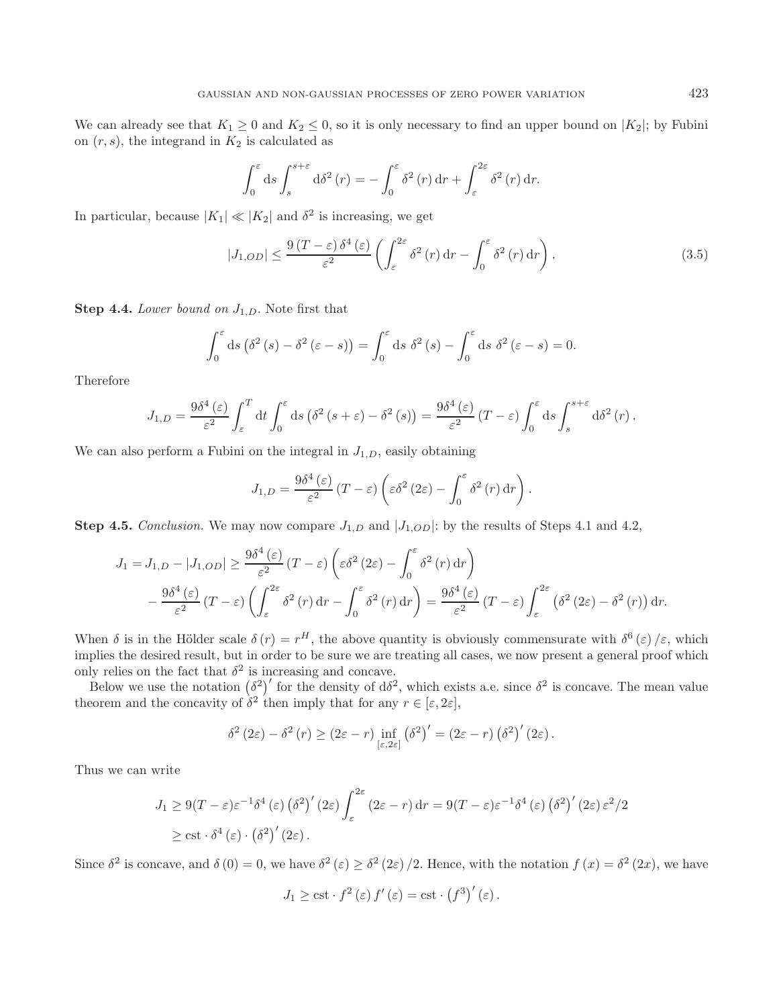We can already see that  $K_1 \geq 0$  and  $K_2 \leq 0$ , so it is only necessary to find an upper bound on  $|K_2|$ ; by Fubini on  $(r, s)$ , the integrand in  $K_2$  is calculated as

$$
\int_0^{\varepsilon} ds \int_s^{s+\varepsilon} d\delta^2(r) = -\int_0^{\varepsilon} \delta^2(r) dr + \int_{\varepsilon}^{2\varepsilon} \delta^2(r) dr.
$$

In particular, because  $|K_1| \ll |K_2|$  and  $\delta^2$  is increasing, we get

$$
|J_{1,OD}| \leq \frac{9(T-\varepsilon)\,\delta^4(\varepsilon)}{\varepsilon^2} \left( \int_{\varepsilon}^{2\varepsilon} \delta^2(r) \,dr - \int_0^{\varepsilon} \delta^2(r) \,dr \right). \tag{3.5}
$$

**Step 4.4.** *Lower bound on*  $J_{1,D}$ . Note first that

$$
\int_0^{\varepsilon} ds \left( \delta^2 (s) - \delta^2 (\varepsilon - s) \right) = \int_0^{\varepsilon} ds \, \delta^2 (s) - \int_0^{\varepsilon} ds \, \delta^2 (\varepsilon - s) = 0.
$$

Therefore

$$
J_{1,D} = \frac{9\delta^4\left(\varepsilon\right)}{\varepsilon^2} \int_{\varepsilon}^T dt \int_0^{\varepsilon} ds \left(\delta^2\left(s+\varepsilon\right)-\delta^2\left(s\right)\right) = \frac{9\delta^4\left(\varepsilon\right)}{\varepsilon^2} \left(T-\varepsilon\right) \int_0^{\varepsilon} ds \int_s^{s+\varepsilon} d\delta^2\left(r\right).
$$

We can also perform a Fubini on the integral in  $J_{1,D}$ , easily obtaining

$$
J_{1,D} = \frac{9\delta^4\left(\varepsilon\right)}{\varepsilon^2} \left(T - \varepsilon\right) \left(\varepsilon \delta^2 \left(2\varepsilon\right) - \int_0^\varepsilon \delta^2 \left(r\right) \mathrm{d}r\right).
$$

**Step 4.5.** *Conclusion.* We may now compare  $J_{1,D}$  and  $|J_{1,OD}|$ : by the results of Steps 4.1 and 4.2,

$$
J_1 = J_{1,D} - |J_{1,OD}| \ge \frac{9\delta^4(\varepsilon)}{\varepsilon^2} (T - \varepsilon) \left( \varepsilon \delta^2 (2\varepsilon) - \int_0^\varepsilon \delta^2 (r) dr \right)
$$
  
 
$$
- \frac{9\delta^4(\varepsilon)}{\varepsilon^2} (T - \varepsilon) \left( \int_\varepsilon^{2\varepsilon} \delta^2 (r) dr - \int_0^\varepsilon \delta^2 (r) dr \right) = \frac{9\delta^4(\varepsilon)}{\varepsilon^2} (T - \varepsilon) \int_\varepsilon^{2\varepsilon} (\delta^2 (2\varepsilon) - \delta^2 (r)) dr.
$$

When  $\delta$  is in the Hölder scale  $\delta(r) = r^H$ , the above quantity is obviously commensurate with  $\delta^6(\varepsilon)/\varepsilon$ , which implies the desired result, but in order to be sure we are treating all cases, we now present a general proof which only relies on the fact that  $\delta^2$  is increasing and concave.

Below we use the notation  $(\delta^2)'$  for the density of  $d\delta^2$ , which exists a.e. since  $\delta^2$  is concave. The mean value theorem and the concavity of  $\delta^2$  then imply that for any  $r \in [\varepsilon, 2\varepsilon]$ ,

$$
\delta^2(2\varepsilon) - \delta^2(r) \ge (2\varepsilon - r) \inf_{\left[\varepsilon, 2\varepsilon\right]} \left(\delta^2\right)' = \left(2\varepsilon - r\right) \left(\delta^2\right)'(2\varepsilon).
$$

Thus we can write

$$
J_1 \ge 9(T - \varepsilon)\varepsilon^{-1}\delta^4(\varepsilon) (\delta^2)'(2\varepsilon) \int_{\varepsilon}^{2\varepsilon} (2\varepsilon - r) dr = 9(T - \varepsilon)\varepsilon^{-1}\delta^4(\varepsilon) (\delta^2)'(2\varepsilon) \varepsilon^2/2
$$
  
 
$$
\ge \text{cst} \cdot \delta^4(\varepsilon) \cdot (\delta^2)'(2\varepsilon).
$$

Since  $\delta^2$  is concave, and  $\delta(0) = 0$ , we have  $\delta^2(\varepsilon) \geq \delta^2(2\varepsilon)/2$ . Hence, with the notation  $f(x) = \delta^2(2x)$ , we have

$$
J_1 \geq \text{cst} \cdot f^2(\varepsilon) f'(\varepsilon) = \text{cst} \cdot (f^3)'(\varepsilon).
$$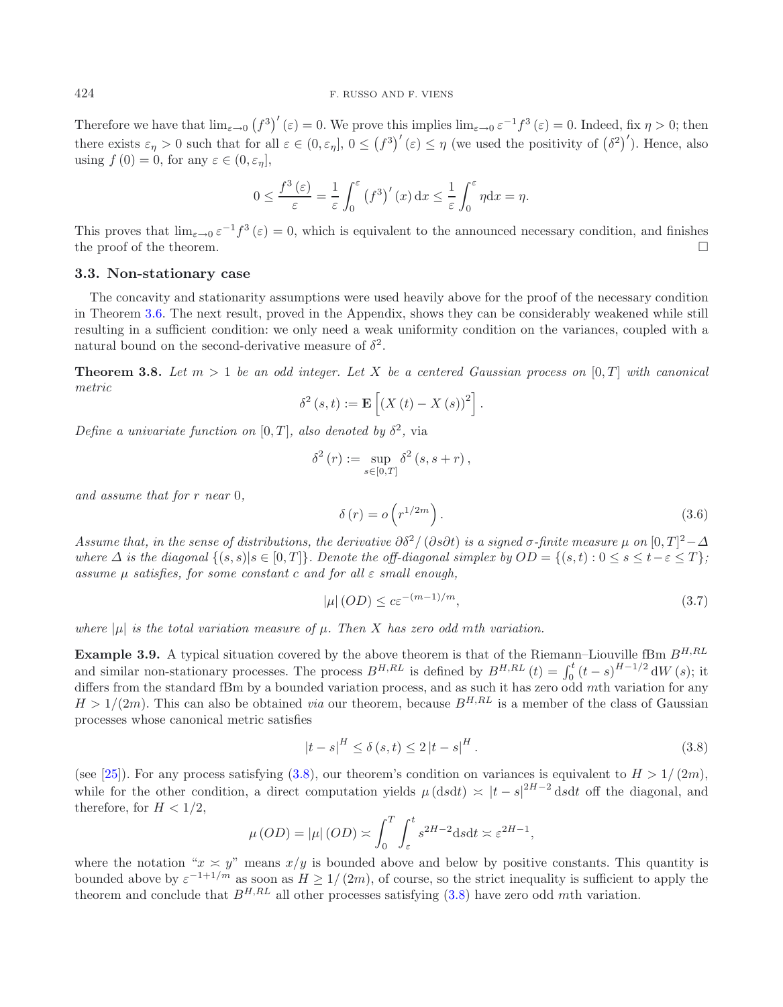### 424 F. RUSSO AND F. VIENS

Therefore we have that  $\lim_{\varepsilon\to 0} (f^3)'(\varepsilon) = 0$ . We prove this implies  $\lim_{\varepsilon\to 0} \varepsilon^{-1} f^3(\varepsilon) = 0$ . Indeed, fix  $\eta > 0$ ; then there exists  $\varepsilon_{\eta} > 0$  such that for all  $\varepsilon \in (0, \varepsilon_{\eta}], 0 \leq (f^{3})'(\varepsilon) \leq \eta$  (we used the positivity of  $(\delta^{2})'$ ). Hence, also using  $f(0) = 0$ , for any  $\varepsilon \in (0, \varepsilon_n]$ ,

$$
0 \le \frac{f^3(\varepsilon)}{\varepsilon} = \frac{1}{\varepsilon} \int_0^\varepsilon (f^3)'(x) \, dx \le \frac{1}{\varepsilon} \int_0^\varepsilon \eta \, dx = \eta.
$$

This proves that  $\lim_{\epsilon \to 0} \epsilon^{-1} f^3(\epsilon) = 0$ , which is equivalent to the announced necessary condition, and finishes the proof of the theorem.  $\Box$ 

#### <span id="page-10-3"></span>**3.3. Non-stationary case**

<span id="page-10-4"></span>The concavity and stationarity assumptions were used heavily above for the proof of the necessary condition in Theorem [3.6.](#page-6-0) The next result, proved in the Appendix, shows they can be considerably weakened while still resulting in a sufficient condition: we only need a weak uniformity condition on the variances, coupled with a natural bound on the second-derivative measure of  $\delta^2$ .

<span id="page-10-0"></span>**Theorem 3.8.** *Let*  $m > 1$  *be an odd integer. Let* X *be a centered Gaussian process on* [0, T] *with canonical metric*

<span id="page-10-5"></span>
$$
\delta^{2}(s,t) := \mathbf{E}\left[\left(X(t) - X(s)\right)^{2}\right].
$$

*Define a univariate function on* [0, T], also denoted by  $\delta^2$ , via

<span id="page-10-2"></span>
$$
\delta^{2}(r) := \sup_{s \in [0,T]} \delta^{2}(s, s+r),
$$

*and assume that for* r *near* 0*,*

$$
\delta(r) = o\left(r^{1/2m}\right). \tag{3.6}
$$

*Assume that, in the sense of distributions, the derivative*  $\partial \delta^2/(\partial s \partial t)$  *is a signed*  $\sigma$ -finite measure  $\mu$  on  $[0,T]^2-\Delta$ *where*  $\Delta$  *is the diagonal*  $\{(s, s) | s \in [0, T] \}$ *. Denote the off-diagonal simplex by*  $OD = \{(s, t) : 0 \le s \le t - \varepsilon \le T \}$ *; assume* μ *satisfies, for some constant* c *and for all* ε *small enough,*

$$
|\mu|(OD) \le c\varepsilon^{-(m-1)/m},\tag{3.7}
$$

*where*  $|\mu|$  *is the total variation measure of*  $\mu$ *. Then* X *has zero odd mth variation.* 

<span id="page-10-1"></span>**Example 3.9.** A typical situation covered by the above theorem is that of the Riemann–Liouville fBm  $B^{H,RL}$ and similar non-stationary processes. The process  $B^{H,RL}$  is defined by  $B^{H,RL}(t) = \int_0^t (t-s)^{H-1/2} dW(s)$ ; it differs from the standard fBm by a bounded variation process, and as such it has zero odd mth variation for any  $H > 1/(2m)$ . This can also be obtained *via* our theorem, because  $B^{H,RL}$  is a member of the class of Gaussian processes whose canonical metric satisfies

$$
|t - s|^{H} \le \delta(s, t) \le 2|t - s|^{H}.
$$
\n(3.8)

(see [\[25\]](#page-25-17)). For any process satisfying [\(3.8\)](#page-10-2), our theorem's condition on variances is equivalent to  $H > 1/(2m)$ , while for the other condition, a direct computation yields  $\mu$  (dsdt)  $\asymp$  |t – s|<sup>2H-2</sup> dsdt off the diagonal, and therefore, for  $H < 1/2$ ,

$$
\mu\left(OD\right) = |\mu|\left(OD\right) \asymp \int_0^T \int_{\varepsilon}^t s^{2H-2} \mathrm{d}s \mathrm{d}t \asymp \varepsilon^{2H-1},
$$

where the notation " $x \approx y$ " means  $x/y$  is bounded above and below by positive constants. This quantity is bounded above by  $\varepsilon^{-1+1/m}$  as soon as  $H \ge 1/(2m)$ , of course, so the strict inequality is sufficient to apply the theorem and conclude that  $B^{H,RL}$  all other processes satisfying [\(3.8\)](#page-10-2) have zero odd mth variation.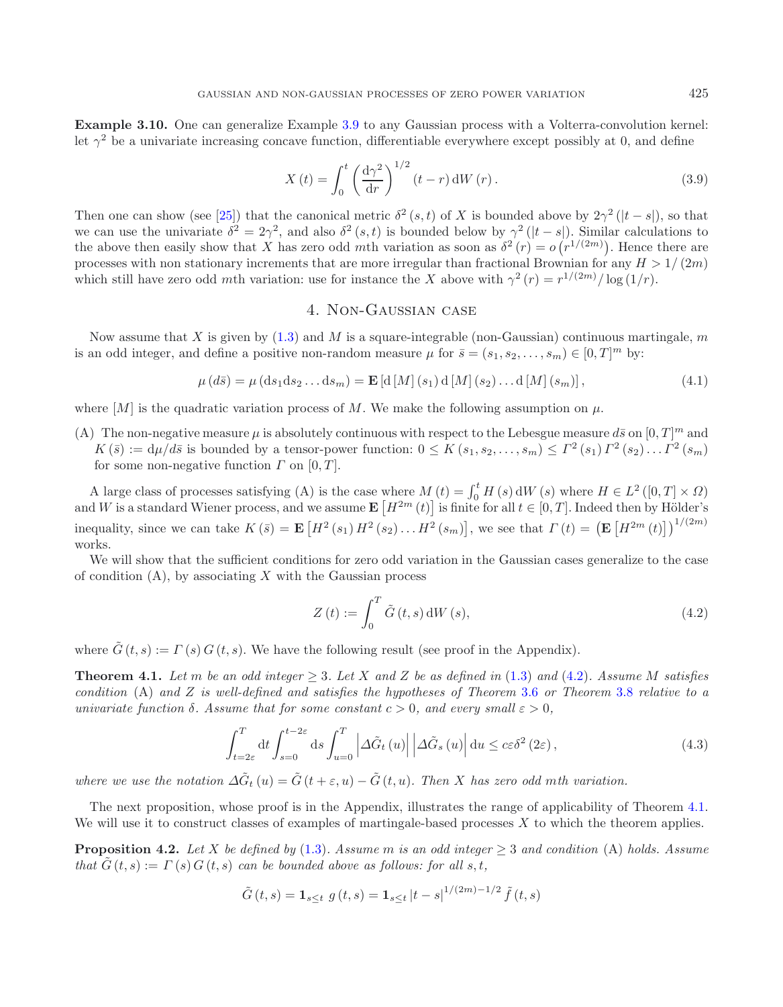<span id="page-11-1"></span>**Example 3.10.** One can generalize Example [3.9](#page-10-1) to any Gaussian process with a Volterra-convolution kernel: let  $\gamma^2$  be a univariate increasing concave function, differentiable everywhere except possibly at 0, and define

<span id="page-11-5"></span>
$$
X(t) = \int_0^t \left(\frac{\mathrm{d}\gamma^2}{\mathrm{d}r}\right)^{1/2} (t-r) \mathrm{d}W(r).
$$
 (3.9)

Then one can show (see [\[25\]](#page-25-17)) that the canonical metric  $\delta^2(s,t)$  of X is bounded above by  $2\gamma^2(|t-s|)$ , so that we can use the univariate  $\delta^2 = 2\gamma^2$ , and also  $\delta^2(s,t)$  is bounded below by  $\gamma^2(|t-s|)$ . Similar calculations to the above then easily show that X has zero odd mth variation as soon as  $\delta^2(r) = o(r^{1/(2m)})$ . Hence there are processes with non stationary increments that are more irregular than fractional Brownian for any  $H > 1/(2m)$ which still have zero odd mth variation: use for instance the X above with  $\gamma^2(r) = r^{1/(2m)}/\log(1/r)$ .

# <span id="page-11-4"></span>4. Non-Gaussian case

<span id="page-11-0"></span>Now assume that X is given by  $(1.3)$  and M is a square-integrable (non-Gaussian) continuous martingale, m is an odd integer, and define a positive non-random measure  $\mu$  for  $\bar{s} = (s_1, s_2, \dots, s_m) \in [0, T]^m$  by:

$$
\mu(d\bar{s}) = \mu(d\bar{s}_1 ds_2 \dots ds_m) = \mathbf{E}\left[d\left[M\right](s_1) d\left[M\right](s_2) \dots d\left[M\right](s_m)\right],\tag{4.1}
$$

where  $[M]$  is the quadratic variation process of M. We make the following assumption on  $\mu$ .

(A) The non-negative measure  $\mu$  is absolutely continuous with respect to the Lebesgue measure  $d\bar{s}$  on  $[0, T]^m$  and  $K(\bar{s}) := d\mu/d\bar{s}$  is bounded by a tensor-power function:  $0 \leq K(s_1, s_2, \ldots, s_m) \leq \Gamma^2(s_1) \Gamma^2(s_2) \ldots \Gamma^2(s_m)$ for some non-negative function  $\Gamma$  on  $[0, T]$ .

A large class of processes satisfying (A) is the case where  $M(t) = \int_0^t H(s) dW(s)$  where  $H \in L^2([0, T] \times \Omega)$ and W is a standard Wiener process, and we assume  $\mathbf{E}\left[H^{2m}(t)\right]$  is finite for all  $t \in [0, T]$ . Indeed then by Hölder's inequality, since we can take  $K(\bar{s}) = \mathbf{E}\left[H^2(s_1) H^2(s_2) \dots H^2(s_m)\right]$ , we see that  $\Gamma(t) = \left(\mathbf{E}\left[H^{2m}(t)\right]\right)^{1/(2m)}$ works.

We will show that the sufficient conditions for zero odd variation in the Gaussian cases generalize to the case of condition  $(A)$ , by associating X with the Gaussian process

<span id="page-11-6"></span>
$$
Z\left(t\right) := \int_0^T \tilde{G}\left(t, s\right) dW\left(s\right),\tag{4.2}
$$

<span id="page-11-2"></span>where  $\tilde{G}(t, s) := \Gamma(s) G(t, s)$ . We have the following result (see proof in the Appendix).

**Theorem 4.1.** Let m be an odd integer  $> 3$ . Let X and Z be as defined in  $(1.3)$  and  $(4.2)$ *. Assume* M *satisfies condition* (A) *and* Z *is well-defined and satisfies the hypotheses of Theorem* [3.6](#page-6-0) *or Theorem* [3.8](#page-10-0) *relative to a univariate function*  $\delta$ *. Assume that for some constant*  $c > 0$ *, and every small*  $\varepsilon > 0$ *,* 

$$
\int_{t=2\varepsilon}^{T} dt \int_{s=0}^{t-2\varepsilon} ds \int_{u=0}^{T} \left| \Delta \tilde{G}_t \left( u \right) \right| \left| \Delta \tilde{G}_s \left( u \right) \right| du \leq c\varepsilon \delta^2 \left( 2\varepsilon \right),\tag{4.3}
$$

*where we use the notation*  $\Delta \tilde{G}_t(u) = \tilde{G}(t + \varepsilon, u) - \tilde{G}(t, u)$ . Then X has zero odd mth variation.

<span id="page-11-3"></span>The next proposition, whose proof is in the Appendix, illustrates the range of applicability of Theorem [4.1.](#page-11-2) We will use it to construct classes of examples of martingale-based processes  $X$  to which the theorem applies.

**Proposition 4.2.** *Let* X *be defined by* [\(1.3\)](#page-2-0)*. Assume* m *is an odd integer*  $\geq$  3 *and condition* (A) *holds. Assume that*  $G(t, s) := \Gamma(s) G(t, s)$  *can be bounded above as follows: for all* s, t,

$$
\tilde{G}(t,s) = \mathbf{1}_{s \le t} g(t,s) = \mathbf{1}_{s \le t} |t-s|^{1/(2m)-1/2} \tilde{f}(t,s)
$$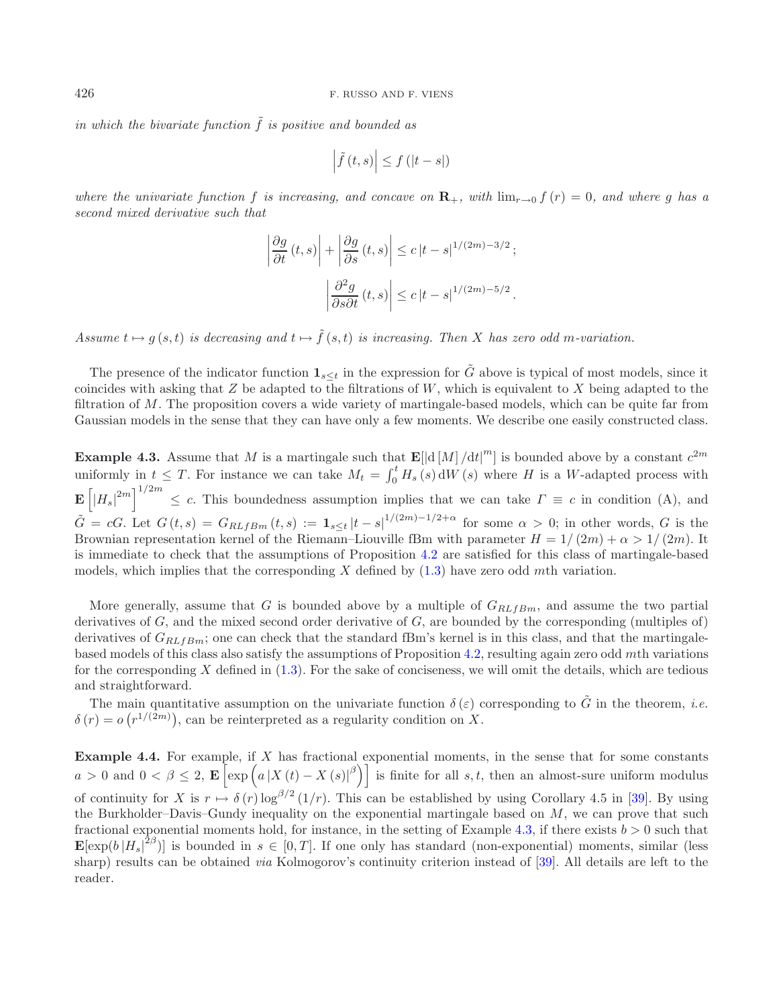*in which the bivariate function*  $\tilde{f}$  *is positive and bounded as* 

$$
\left|\tilde{f}\left(t,s\right)\right| \leq f\left(\left|t-s\right|\right)
$$

*where the univariate function* f *is increasing, and concave on*  $\mathbf{R}_{+}$ *, with*  $\lim_{x\to 0} f(r) = 0$ *, and where* g has a *second mixed derivative such that*

$$
\left| \frac{\partial g}{\partial t} (t, s) \right| + \left| \frac{\partial g}{\partial s} (t, s) \right| \le c |t - s|^{1/(2m) - 3/2};
$$

$$
\left| \frac{\partial^2 g}{\partial s \partial t} (t, s) \right| \le c |t - s|^{1/(2m) - 5/2}.
$$

*Assume*  $t \mapsto q(s,t)$  *is decreasing and*  $t \mapsto \tilde{f}(s,t)$  *is increasing. Then* X *has zero odd m-variation.* 

The presence of the indicator function  $\mathbf{1}_{s \leq t}$  in the expression for  $\tilde{G}$  above is typical of most models, since it coincides with asking that  $Z$  be adapted to the filtrations of  $W$ , which is equivalent to  $X$  being adapted to the filtration of M. The proposition covers a wide variety of martingale-based models, which can be quite far from Gaussian models in the sense that they can have only a few moments. We describe one easily constructed class.

<span id="page-12-0"></span>**Example 4.3.** Assume that M is a martingale such that  $\mathbf{E}[\left|\frac{d}{M}\right|/dt]^m$  is bounded above by a constant  $c^{2m}$ uniformly in  $t \leq T$ . For instance we can take  $M_t = \int_0^t H_s(s) dW(s)$  where H is a W-adapted process with  $\mathbf{E}\left[\left|H_s\right|^{2m}\right]^{1/2m} \leq c$ . This boundedness assumption implies that we can take  $\Gamma \equiv c$  in condition (A), and  $\tilde{G} = cG$ . Let  $G(t, s) = G_{RLfBm}(t, s) := \mathbf{1}_{s \le t} |t - s|^{1/(2m)-1/2+\alpha}$  for some  $\alpha > 0$ ; in other words, G is the Brownian representation kernel of the Riemann–Liouville fBm with parameter  $H = 1/(2m) + \alpha > 1/(2m)$ . It is immediate to check that the assumptions of Proposition [4.2](#page-11-3) are satisfied for this class of martingale-based models, which implies that the corresponding  $X$  defined by  $(1.3)$  have zero odd mth variation.

More generally, assume that G is bounded above by a multiple of  $G_{RLfBm}$ , and assume the two partial derivatives of G, and the mixed second order derivative of G, are bounded by the corresponding (multiples of) derivatives of  $G_{RLfBm}$ ; one can check that the standard fBm's kernel is in this class, and that the martingalebased models of this class also satisfy the assumptions of Proposition [4.2,](#page-11-3) resulting again zero odd mth variations for the corresponding X defined in  $(1.3)$ . For the sake of conciseness, we will omit the details, which are tedious and straightforward.

The main quantitative assumption on the univariate function  $\delta(\varepsilon)$  corresponding to  $\tilde{G}$  in the theorem, *i.e.*  $\delta(r) = o(r^{1/(2m)})$ , can be reinterpreted as a regularity condition on X.

**Example 4.4.** For example, if X has fractional exponential moments, in the sense that for some constants  $a > 0$  and  $0 < \beta \leq 2$ ,  $\mathbf{E} \left[ \exp \left( a \left| X(t) - X(s) \right|^{\beta} \right) \right]$  is finite for all  $s, t$ , then an almost-sure uniform modulus of continuity for X is  $r \mapsto \delta(r) \log^{\beta/2} (1/r)$ . This can be established by using Corollary 4.5 in [\[39](#page-25-24)]. By using the Burkholder–Davis–Gundy inequality on the exponential martingale based on M, we can prove that such fractional exponential moments hold, for instance, in the setting of Example [4.3,](#page-12-0) if there exists  $b > 0$  such that  $\mathbf{E}[\exp(b|H_s|^{2\beta})]$  is bounded in  $s \in [0,T]$ . If one only has standard (non-exponential) moments, similar (less sharp) results can be obtained *via* Kolmogorov's continuity criterion instead of [\[39\]](#page-25-24). All details are left to the reader.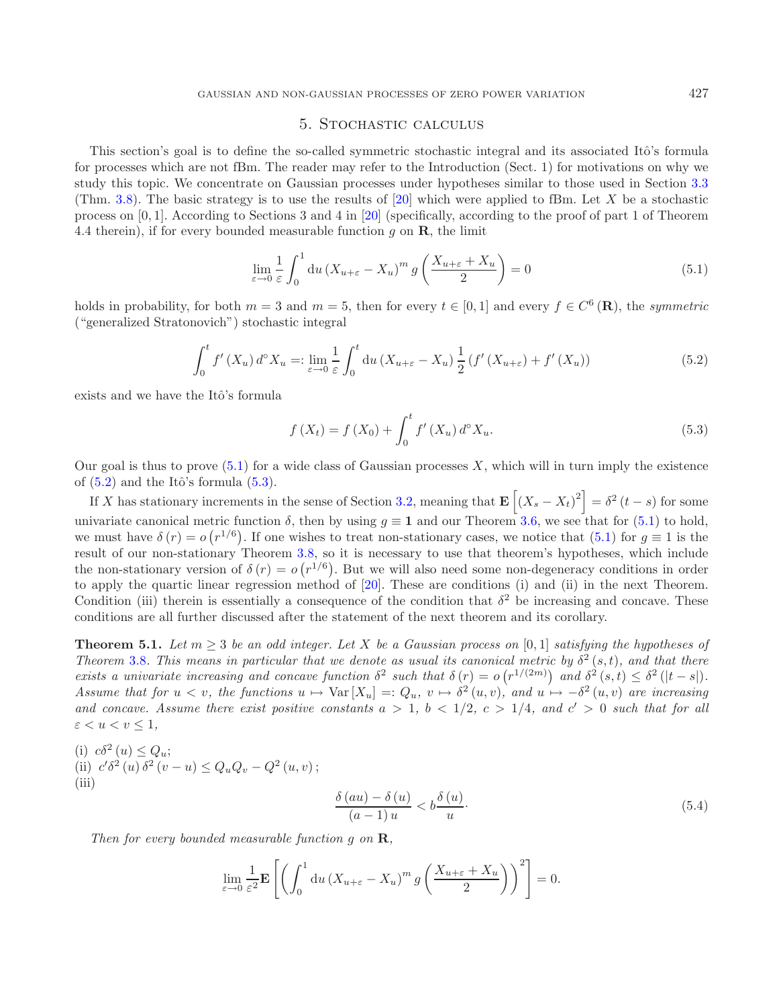## <span id="page-13-3"></span><span id="page-13-2"></span>5. Stochastic calculus

<span id="page-13-0"></span>This section's goal is to define the so-called symmetric stochastic integral and its associated Itô's formula for processes which are not fBm. The reader may refer to the Introduction (Sect. 1) for motivations on why we study this topic. We concentrate on Gaussian processes under hypotheses similar to those used in Section [3.3](#page-10-3) (Thm. [3.8\)](#page-10-0). The basic strategy is to use the results of [\[20\]](#page-25-10) which were applied to fBm. Let X be a stochastic process on [0, 1]. According to Sections 3 and 4 in [\[20](#page-25-10)] (specifically, according to the proof of part 1 of Theorem 4.4 therein), if for every bounded measurable function g on **R**, the limit

<span id="page-13-4"></span>
$$
\lim_{\varepsilon \to 0} \frac{1}{\varepsilon} \int_0^1 du \left( X_{u+\varepsilon} - X_u \right)^m g \left( \frac{X_{u+\varepsilon} + X_u}{2} \right) = 0 \tag{5.1}
$$

holds in probability, for both  $m = 3$  and  $m = 5$ , then for every  $t \in [0, 1]$  and every  $f \in C^6(\mathbf{R})$ , the *symmetric* ("generalized Stratonovich") stochastic integral

$$
\int_0^t f'(X_u) d^\circ X_u =: \lim_{\varepsilon \to 0} \frac{1}{\varepsilon} \int_0^t \mathrm{d}u \left( X_{u+\varepsilon} - X_u \right) \frac{1}{2} \left( f'(X_{u+\varepsilon}) + f'(X_u) \right) \tag{5.2}
$$

exists and we have the Itô's formula

$$
f(X_t) = f(X_0) + \int_0^t f'(X_u) d^{\circ} X_u.
$$
\n(5.3)

Our goal is thus to prove  $(5.1)$  for a wide class of Gaussian processes X, which will in turn imply the existence of  $(5.2)$  and the Itô's formula  $(5.3)$ .

If X has stationary increments in the sense of Section [3.2,](#page-6-2) meaning that  $\mathbf{E}\left[\left(X_s - X_t\right)^2\right] = \delta^2 (t-s)$  for some univariate canonical metric function  $\delta$ , then by using  $g \equiv 1$  and our Theorem [3.6,](#page-6-0) we see that for [\(5.1\)](#page-13-2) to hold, we must have  $\delta(r) = o(r^{1/6})$ . If one wishes to treat non-stationary cases, we notice that [\(5.1\)](#page-13-2) for  $g \equiv 1$  is the result of our non-stationary Theorem [3.8,](#page-10-0) so it is necessary to use that theorem's hypotheses, which include the non-stationary version of  $\delta(r) = o(r^{1/6})$ . But we will also need some non-degeneracy conditions in order to apply the quartic linear regression method of [\[20](#page-25-10)]. These are conditions (i) and (ii) in the next Theorem. Condition (iii) therein is essentially a consequence of the condition that  $\delta^2$  be increasing and concave. These conditions are all further discussed after the statement of the next theorem and its corollary.

<span id="page-13-1"></span>**Theorem 5.1.** *Let*  $m \geq 3$  *be an odd integer. Let* X *be a Gaussian process on* [0, 1] *satisfying the hypotheses of Theorem* [3.8](#page-10-0)*. This means in particular that we denote as usual its canonical metric by*  $\delta^2(s,t)$ *, and that there exists a univariate increasing and concave function*  $\delta^2$  *such that*  $\delta(r) = o(r^{1/(2m)})$  *and*  $\delta^2(s,t) \leq \delta^2(|t-s|)$ *. Assume that for*  $u < v$ *, the functions*  $u \mapsto \text{Var}[X_u] =: Q_u$ ,  $v \mapsto \delta^2(u, v)$ *, and*  $u \mapsto -\delta^2(u, v)$  *are increasing* and concave. Assume there exist positive constants  $a > 1$ ,  $b < 1/2$ ,  $c > 1/4$ , and  $c' > 0$  such that for all  $\varepsilon < u < v \leq 1$ ,

<span id="page-13-5"></span>(i) 
$$
c\delta^2(u) \le Q_u;
$$
  
\n(ii)  $c'\delta^2(u)\delta^2(v-u) \le Q_uQ_v - Q^2(u,v);$   
\n(iii) 
$$
\frac{\delta(au) - \delta(u)}{(a-1)u} < b\frac{\delta(u)}{u}.
$$
\n(5.4)

*Then for every bounded measurable function* g *on* **R***,*

$$
\lim_{\varepsilon \to 0} \frac{1}{\varepsilon^2} \mathbf{E} \left[ \left( \int_0^1 du \left( X_{u+\varepsilon} - X_u \right)^m g \left( \frac{X_{u+\varepsilon} + X_u}{2} \right) \right)^2 \right] = 0.
$$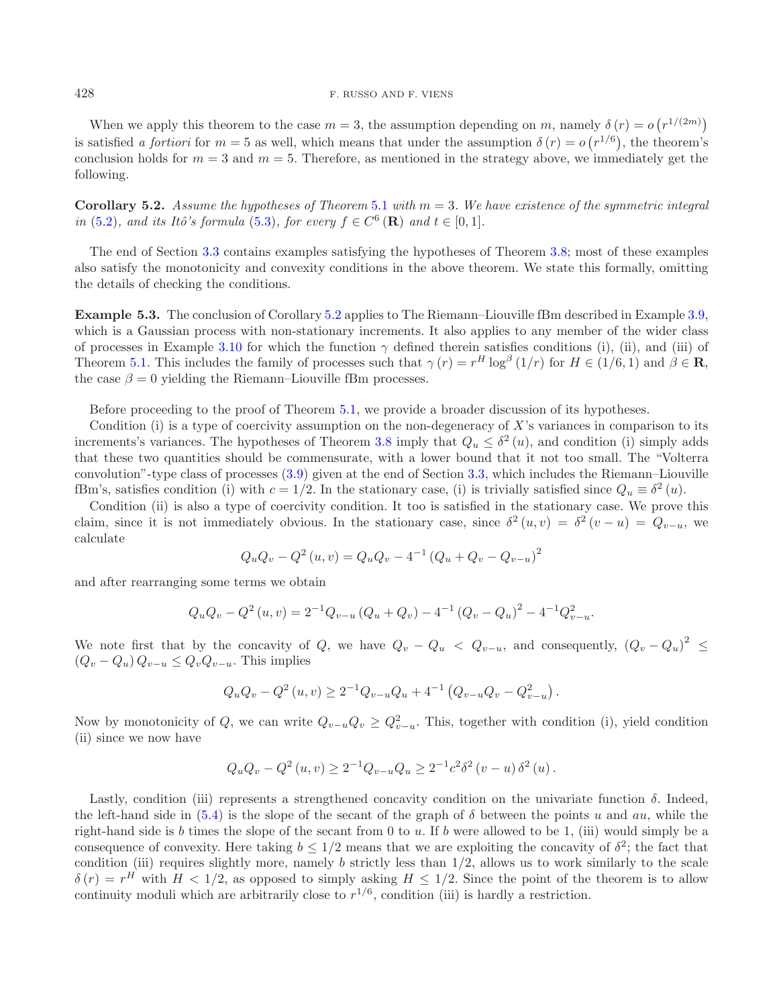#### 428 F. RUSSO AND F. VIENS

When we apply this theorem to the case  $m = 3$ , the assumption depending on m, namely  $\delta(r) = o(r^{1/(2m)})$ is satisfied *a fortiori* for  $m = 5$  as well, which means that under the assumption  $\delta(r) = o(r^{1/6})$ , the theorem's conclusion holds for  $m = 3$  and  $m = 5$ . Therefore, as mentioned in the strategy above, we immediately get the following.

<span id="page-14-0"></span>**Corollary 5.2.** *Assume the hypotheses of Theorem* [5.1](#page-13-1) *with*  $m = 3$ *. We have existence of the symmetric integral in* [\(5.2\)](#page-13-3)*, and its Itô's formula* [\(5.3\)](#page-13-4)*, for every*  $f \in C^6(\mathbf{R})$  *and*  $t \in [0,1]$ *.* 

The end of Section [3.3](#page-10-3) contains examples satisfying the hypotheses of Theorem [3.8;](#page-10-0) most of these examples also satisfy the monotonicity and convexity conditions in the above theorem. We state this formally, omitting the details of checking the conditions.

**Example 5.3.** The conclusion of Corollary [5.2](#page-14-0) applies to The Riemann–Liouville fBm described in Example [3.9,](#page-10-1) which is a Gaussian process with non-stationary increments. It also applies to any member of the wider class of processes in Example [3.10](#page-11-1) for which the function  $\gamma$  defined therein satisfies conditions (i), (ii), and (iii) of Theorem [5.1.](#page-13-1) This includes the family of processes such that  $\gamma(r) = r^H \log^{\beta} (1/r)$  for  $H \in (1/6, 1)$  and  $\beta \in \mathbb{R}$ , the case  $\beta = 0$  yielding the Riemann–Liouville fBm processes.

Before proceeding to the proof of Theorem [5.1,](#page-13-1) we provide a broader discussion of its hypotheses.

Condition (i) is a type of coercivity assumption on the non-degeneracy of  $X$ 's variances in comparison to its increments's variances. The hypotheses of Theorem [3.8](#page-10-0) imply that  $Q_u \leq \delta^2(u)$ , and condition (i) simply adds that these two quantities should be commensurate, with a lower bound that it not too small. The "Volterra convolution"-type class of processes [\(3.9\)](#page-11-5) given at the end of Section [3.3,](#page-10-3) which includes the Riemann–Liouville fBm's, satisfies condition (i) with  $c = 1/2$ . In the stationary case, (i) is trivially satisfied since  $Q_u \equiv \delta^2(u)$ .

Condition (ii) is also a type of coercivity condition. It too is satisfied in the stationary case. We prove this claim, since it is not immediately obvious. In the stationary case, since  $\delta^2(u, v) = \delta^2(v - u) = Q_{v-u}$ , we calculate

$$
Q_u Q_v - Q^2(u, v) = Q_u Q_v - 4^{-1} (Q_u + Q_v - Q_{v-u})^2
$$

and after rearranging some terms we obtain

$$
Q_u Q_v - Q^2(u, v) = 2^{-1} Q_{v-u} (Q_u + Q_v) - 4^{-1} (Q_v - Q_u)^2 - 4^{-1} Q_{v-u}^2.
$$

We note first that by the concavity of Q, we have  $Q_v - Q_u < Q_{v-u}$ , and consequently,  $(Q_v - Q_u)^2 \le$  $(Q_v - Q_u) Q_{v-u} \leq Q_v Q_{v-u}$ . This implies

$$
Q_u Q_v - Q^2(u, v) \ge 2^{-1} Q_{v-u} Q_u + 4^{-1} (Q_{v-u} Q_v - Q_{v-u}^2).
$$

Now by monotonicity of Q, we can write  $Q_{v-u}Q_v \geq Q_{v-u}^2$ . This, together with condition (i), yield condition (ii) since we now have

$$
Q_u Q_v - Q^2(u, v) \ge 2^{-1} Q_{v-u} Q_u \ge 2^{-1} c^2 \delta^2 (v - u) \delta^2 (u).
$$

Lastly, condition (iii) represents a strengthened concavity condition on the univariate function  $\delta$ . Indeed, the left-hand side in [\(5.4\)](#page-13-5) is the slope of the secant of the graph of  $\delta$  between the points u and au, while the right-hand side is b times the slope of the secant from 0 to u. If b were allowed to be 1, (iii) would simply be a consequence of convexity. Here taking  $b \leq 1/2$  means that we are exploiting the concavity of  $\delta^2$ ; the fact that condition (iii) requires slightly more, namely  $b$  strictly less than  $1/2$ , allows us to work similarly to the scale  $\delta(r) = r^H$  with  $H < 1/2$ , as opposed to simply asking  $H \le 1/2$ . Since the point of the theorem is to allow continuity moduli which are arbitrarily close to  $r^{1/6}$ , condition (iii) is hardly a restriction.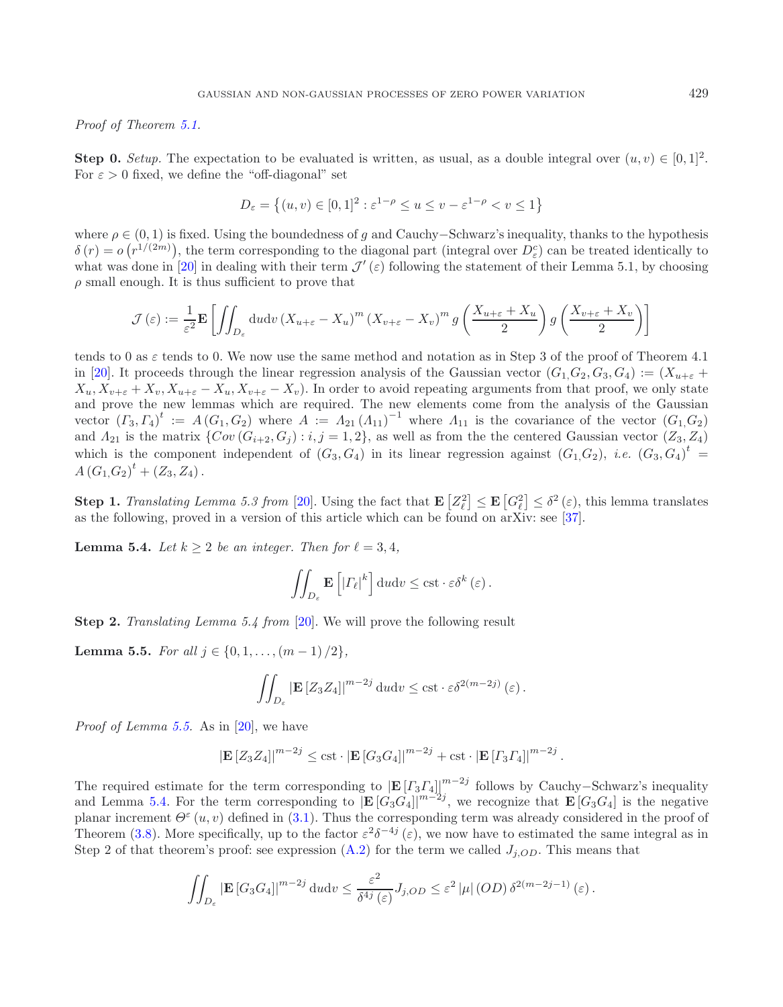*Proof of Theorem [5.1.](#page-13-1)*

**Step 0.** *Setup.* The expectation to be evaluated is written, as usual, as a double integral over  $(u, v) \in [0, 1]^2$ . For  $\varepsilon > 0$  fixed, we define the "off-diagonal" set

$$
D_{\varepsilon} = \left\{ (u, v) \in [0, 1]^2 : \varepsilon^{1-\rho} \le u \le v - \varepsilon^{1-\rho} < v \le 1 \right\}
$$

where  $\rho \in (0, 1)$  is fixed. Using the boundedness of g and Cauchy–Schwarz's inequality, thanks to the hypothesis  $\delta(r) = o(r^{1/(2m)})$ , the term corresponding to the diagonal part (integral over  $D_{\varepsilon}^{c}$ ) can be treated identically to what was done in [\[20\]](#page-25-10) in dealing with their term  $\mathcal{J}'(\varepsilon)$  following the statement of their Lemma 5.1, by choosing  $\rho$  small enough. It is thus sufficient to prove that

$$
\mathcal{J}(\varepsilon) := \frac{1}{\varepsilon^2} \mathbf{E} \left[ \iint_{D_{\varepsilon}} \mathrm{d}u \mathrm{d}v \left( X_{u+\varepsilon} - X_u \right)^m \left( X_{v+\varepsilon} - X_v \right)^m g \left( \frac{X_{u+\varepsilon} + X_u}{2} \right) g \left( \frac{X_{v+\varepsilon} + X_v}{2} \right) \right]
$$

tends to 0 as  $\varepsilon$  tends to 0. We now use the same method and notation as in Step 3 of the proof of Theorem 4.1 in [\[20\]](#page-25-10). It proceeds through the linear regression analysis of the Gaussian vector  $(G_1, G_2, G_3, G_4) := (X_{u+\epsilon} +$  $X_u, X_{v+\varepsilon} + X_v, X_{u+\varepsilon} - X_u, X_{v+\varepsilon} - X_v$ . In order to avoid repeating arguments from that proof, we only state and prove the new lemmas which are required. The new elements come from the analysis of the Gaussian vector  $(T_3, \Gamma_4)^t := A(G_1, G_2)$  where  $A := A_{21} (A_{11})^{-1}$  where  $A_{11}$  is the covariance of the vector  $(G_1, G_2)$ and  $A_{21}$  is the matrix  $\{Cov(G_{i+2}, G_j) : i, j = 1, 2\}$ , as well as from the the centered Gaussian vector  $(Z_3, Z_4)$ which is the component independent of  $(G_3, G_4)$  in its linear regression against  $(G_1, G_2)$ , *i.e.*  $(G_3, G_4)^t$  $A(G_1,G_2)^t + (Z_3,Z_4).$ 

<span id="page-15-1"></span>**Step 1.** *Translating Lemma 5.3 from* [\[20\]](#page-25-10). Using the fact that  $\mathbf{E}\left[Z_{\ell}^2\right] \leq \mathbf{E}\left[G_{\ell}^2\right] \leq \delta^2(\varepsilon)$ , this lemma translates as the following, proved in a version of this article which can be found on arXiv: see [\[37\]](#page-25-25).

**Lemma 5.4.** *Let*  $k \geq 2$  *be an integer. Then for*  $\ell = 3, 4$ *,* 

$$
\iint_{D_{\varepsilon}} \mathbf{E}\left[|T_{\ell}|^{k}\right] \mathrm{d} u \mathrm{d} v \leq \mathrm{cst} \cdot \varepsilon \delta^{k} \left(\varepsilon\right).
$$

<span id="page-15-0"></span>**Step 2.** *Translating Lemma 5.4 from* [\[20\]](#page-25-10). We will prove the following result

**Lemma 5.5.** *For all*  $j \in \{0, 1, \ldots, (m-1)/2\}$ *,* 

$$
\iint_{D_{\varepsilon}} \left| \mathbf{E} \left[ Z_3 Z_4 \right] \right|^{m-2j} \mathrm{d} u \mathrm{d} v \leq \mathrm{cst} \cdot \varepsilon \delta^{2(m-2j)} \left( \varepsilon \right).
$$

*Proof of Lemma [5.5.](#page-15-0)* As in [\[20\]](#page-25-10), we have

$$
|\mathbf{E}[Z_3 Z_4]|^{m-2j} \leq \text{cst} \cdot |\mathbf{E}[G_3 G_4]|^{m-2j} + \text{cst} \cdot |\mathbf{E}[T_3 T_4]|^{m-2j}.
$$

The required estimate for the term corresponding to  $|\mathbf{E}[T_3T_4]|^{m-2j}$  follows by Cauchy–Schwarz's inequality and Lemma [5.4.](#page-15-1) For the term corresponding to  $\left[\mathbf{E}\left[G_3G_4\right]\right]^{m-2j}$ , we recognize that  $\mathbf{E}\left[G_3G_4\right]$  is the negative planar increment  $\Theta^{\varepsilon}(u, v)$  defined in [\(3.1\)](#page-5-7). Thus the corresponding term was already considered in the proof of Theorem [\(3.8\)](#page-10-0). More specifically, up to the factor  $\varepsilon^2 \delta^{-4j}(\varepsilon)$ , we now have to estimated the same integral as in Step 2 of that theorem's proof: see expression [\(A.2\)](#page-18-0) for the term we called  $J_{i,OD}$ . This means that

$$
\iint_{D_{\varepsilon}} \left| \mathbf{E} \left[ G_3 G_4 \right] \right|^{m-2j} \mathrm{d}u \mathrm{d}v \leq \frac{\varepsilon^2}{\delta^{4j}(\varepsilon)} J_{j,OD} \leq \varepsilon^2 \left| \mu \right| (OD) \, \delta^{2(m-2j-1)}(\varepsilon) \, .
$$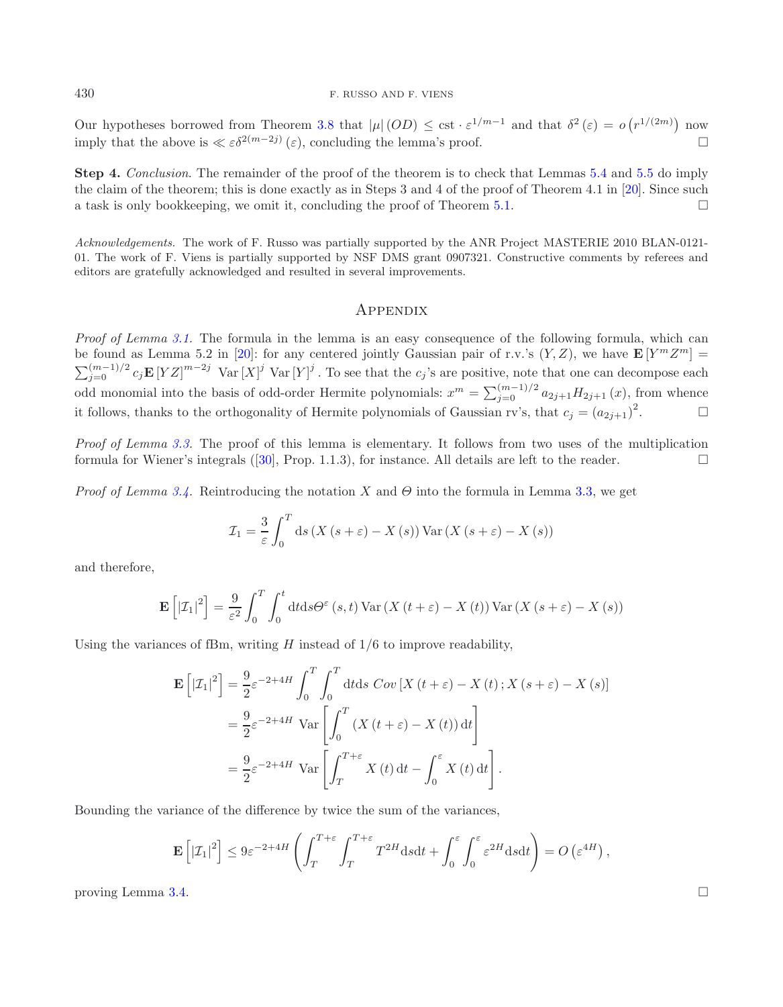Our hypotheses borrowed from Theorem [3.8](#page-10-0) that  $|\mu|(OD) \leq \text{cst} \cdot \varepsilon^{1/m-1}$  and that  $\delta^2(\varepsilon) = o(r^{1/(2m)})$  now imply that the above is  $\ll \varepsilon \delta^{2(m-2j)}(\varepsilon)$ , concluding the lemma's proof.

**Step 4.** *Conclusion*. The remainder of the proof of the theorem is to check that Lemmas [5.4](#page-15-1) and [5.5](#page-15-0) do imply the claim of the theorem; this is done exactly as in Steps 3 and 4 of the proof of Theorem 4.1 in [\[20](#page-25-10)]. Since such a task is only bookkeeping, we omit it, concluding the proof of Theorem [5.1.](#page-13-1)  $\Box$ 

*Acknowledgements.* The work of F. Russo was partially supported by the ANR Project MASTERIE 2010 BLAN-0121- 01. The work of F. Viens is partially supported by NSF DMS grant 0907321. Constructive comments by referees and editors are gratefully acknowledged and resulted in several improvements.

# **APPENDIX**

*Proof of Lemma [3.1.](#page-5-6)* The formula in the lemma is an easy consequence of the following formula, which can be found as Lemma 5.2 in [\[20\]](#page-25-10): for any centered jointly Gaussian pair of r.v.'s  $(Y, Z)$ , we have  $\mathbf{E}[Y^m Z^m] =$  $\sum_{j=0}^{(m-1)/2} c_j \mathbf{E} [YZ]^{m-2j}$  Var  $[X]^j$  Var  $[Y]^j$ . To see that the  $c_j$ 's are positive, note that one can decompose each odd monomial into the basis of odd-order Hermite polynomials:  $x^m = \sum_{j=0}^{(m-1)/2} a_{2j+1} H_{2j+1}(x)$ , from whence it follows, thanks to the orthogonality of Hermite polynomials of Gaussian rv's, that  $c_j = (a_{2j+1})^2$  $\Box$ 

*Proof of Lemma [3.3.](#page-5-4)* The proof of this lemma is elementary. It follows from two uses of the multiplication formula for Wiener's integrals ([\[30\]](#page-25-15), Prop. 1.1.3), for instance. All details are left to the reader.  $\Box$ 

*Proof of Lemma [3.4.](#page-5-5)* Reintroducing the notation X and  $\Theta$  into the formula in Lemma [3.3,](#page-5-4) we get

$$
\mathcal{I}_1 = \frac{3}{\varepsilon} \int_0^T ds \left( X \left( s + \varepsilon \right) - X \left( s \right) \right) \text{Var} \left( X \left( s + \varepsilon \right) - X \left( s \right) \right)
$$

and therefore,

$$
\mathbf{E}\left[\left|\mathcal{I}_{1}\right|^{2}\right] = \frac{9}{\varepsilon^{2}} \int_{0}^{T} \int_{0}^{t} dt ds \Theta^{\varepsilon}\left(s, t\right) \text{Var}\left(X\left(t + \varepsilon\right) - X\left(t\right)\right) \text{Var}\left(X\left(s + \varepsilon\right) - X\left(s\right)\right)
$$

Using the variances of fBm, writing  $H$  instead of  $1/6$  to improve readability,

$$
\mathbf{E}\left[|\mathcal{I}_1|^2\right] = \frac{9}{2}\varepsilon^{-2+4H} \int_0^T \int_0^T dt ds \ Cov\left[X\left(t+\varepsilon\right)-X\left(t\right);X\left(s+\varepsilon\right)-X\left(s\right)\right]
$$

$$
= \frac{9}{2}\varepsilon^{-2+4H} \ Var\left[\int_0^T \left(X\left(t+\varepsilon\right)-X\left(t\right)\right)dt\right]
$$

$$
= \frac{9}{2}\varepsilon^{-2+4H} \ Var\left[\int_T^{T+\varepsilon} X\left(t\right)dt-\int_0^\varepsilon X\left(t\right)dt\right].
$$

Bounding the variance of the difference by twice the sum of the variances,

$$
\mathbf{E}\left[|\mathcal{I}_1|^2\right] \leq 9\varepsilon^{-2+4H} \left( \int_T^{T+\varepsilon} \int_T^{T+\varepsilon} T^{2H} \mathrm{d} s \mathrm{d} t + \int_0^{\varepsilon} \int_0^{\varepsilon} \varepsilon^{2H} \mathrm{d} s \mathrm{d} t \right) = O\left(\varepsilon^{4H}\right),
$$

proving Lemma [3.4.](#page-5-5)  $\Box$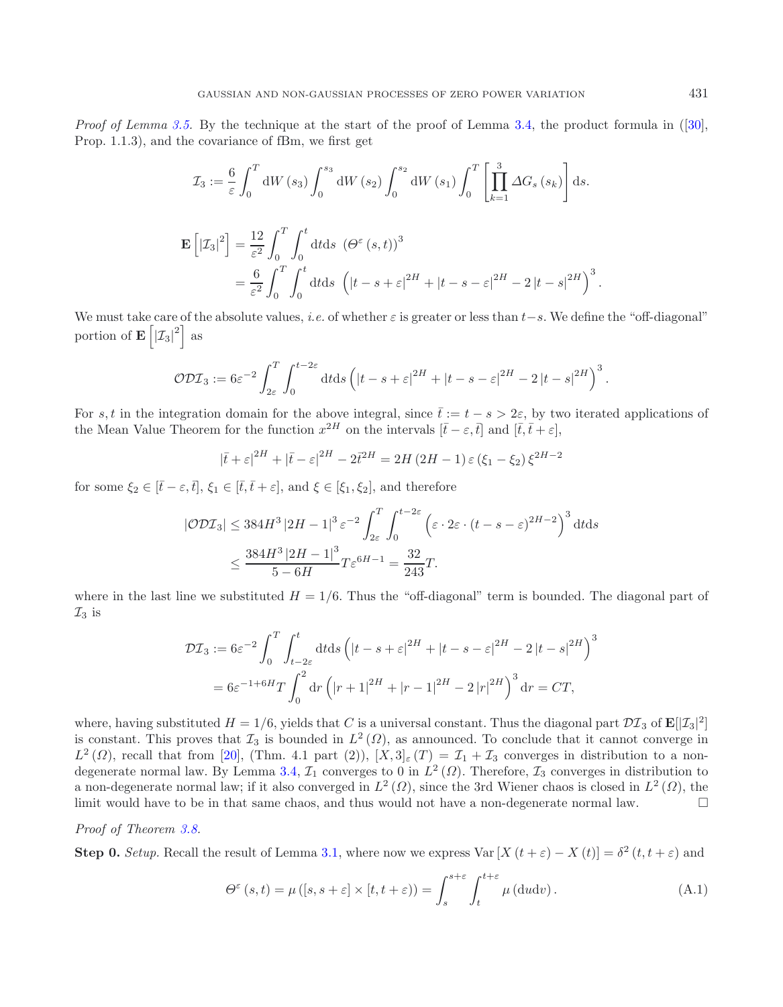*Proof of Lemma [3.5.](#page-6-1)* By the technique at the start of the proof of Lemma [3.4,](#page-5-5) the product formula in ([\[30](#page-25-15)], Prop. 1.1.3), and the covariance of fBm, we first get

$$
\mathcal{I}_3 := \frac{6}{\varepsilon} \int_0^T dW(s_3) \int_0^{s_3} dW(s_2) \int_0^{s_2} dW(s_1) \int_0^T \left[ \prod_{k=1}^3 \Delta G_s(s_k) \right] ds.
$$
  

$$
\mathbf{E} \left[ |\mathcal{I}_3|^2 \right] = \frac{12}{\varepsilon^2} \int_0^T \int_0^t dt ds \, (\Theta^\varepsilon(s, t))^3
$$
  

$$
= \frac{6}{\varepsilon^2} \int_0^T \int_0^t dt ds \, \left( |t - s + \varepsilon|^{2H} + |t - s - \varepsilon|^{2H} - 2|t - s|^{2H} \right)^3.
$$

We must take care of the absolute values, *i.e.* of whether  $\varepsilon$  is greater or less than  $t-s$ . We define the "off-diagonal" portion of  $\mathbf{E}\left[|\mathcal{I}_3|^2\right]$  as

$$
\mathcal{ODI}_3 := 6\varepsilon^{-2} \int_{2\varepsilon}^T \int_0^{t-2\varepsilon} dt ds \left( |t-s+\varepsilon|^{2H} + |t-s-\varepsilon|^{2H} - 2|t-s|^{2H} \right)^3.
$$

For s, t in the integration domain for the above integral, since  $\bar{t} := t - s > 2\varepsilon$ , by two iterated applications of the Mean Value Theorem for the function  $x^{2H}$  on the intervals  $[\bar{t} - \varepsilon, \bar{t}]$  and  $[\bar{t}, \bar{t} + \varepsilon]$ ,

$$
|\bar{t} + \varepsilon|^{2H} + |\bar{t} - \varepsilon|^{2H} - 2\bar{t}^{2H} = 2H(2H - 1)\varepsilon(\xi_1 - \xi_2)\xi^{2H - 2}
$$

for some  $\xi_2 \in [\bar{t} - \varepsilon, \bar{t}], \xi_1 \in [\bar{t}, \bar{t} + \varepsilon],$  and  $\xi \in [\xi_1, \xi_2]$ , and therefore

$$
|\mathcal{ODI}_3| \le 384H^3 |2H-1|^3 \varepsilon^{-2} \int_{2\varepsilon}^T \int_0^{t-2\varepsilon} \left( \varepsilon \cdot 2\varepsilon \cdot (t-s-\varepsilon)^{2H-2} \right)^3 dt ds
$$
  

$$
\le \frac{384H^3 |2H-1|^3}{5-6H} T \varepsilon^{6H-1} = \frac{32}{243}T.
$$

where in the last line we substituted  $H = 1/6$ . Thus the "off-diagonal" term is bounded. The diagonal part of  $\mathcal{I}_3$  is

<span id="page-17-0"></span>
$$
\mathcal{DI}_3 := 6\varepsilon^{-2} \int_0^T \int_{t-2\varepsilon}^t dt ds \left( |t - s + \varepsilon|^{2H} + |t - s - \varepsilon|^{2H} - 2|t - s|^{2H} \right)^3
$$
  
=  $6\varepsilon^{-1+6H} T \int_0^2 dr \left( |r + 1|^{2H} + |r - 1|^{2H} - 2|r|^{2H} \right)^3 dr = CT,$ 

where, having substituted  $H = 1/6$ , yields that C is a universal constant. Thus the diagonal part  $\mathcal{DI}_3$  of  $\mathbf{E}[[\mathcal{I}_3]^2]$ is constant. This proves that  $\mathcal{I}_3$  is bounded in  $L^2(\Omega)$ , as announced. To conclude that it cannot converge in  $L^2(\Omega)$ , recall that from [\[20](#page-25-10)], (Thm. 4.1 part (2)),  $[X,3]_{\varepsilon}(T) = \mathcal{I}_1 + \mathcal{I}_3$  converges in distribution to a non-degenerate normal law. By Lemma [3.4,](#page-5-5)  $\mathcal{I}_1$  converges to 0 in  $L^2(\Omega)$ . Therefore,  $\mathcal{I}_3$  converges in distribution to a non-degenerate normal law; if it also converged in  $L^2(\Omega)$ , since the 3rd Wiener chaos is closed in  $L^2(\Omega)$ , the limit would have to be in that same chaos, and thus would not have a non-degenerate normal law.  $\Box$ 

### *Proof of Theorem [3.8.](#page-10-0)*

**Step 0.** *Setup*. Recall the result of Lemma [3.1,](#page-5-6) where now we express Var  $[X(t + \varepsilon) - X(t)] = \delta^2(t, t + \varepsilon)$  and

$$
\Theta^{\varepsilon}(s,t) = \mu([s,s+\varepsilon] \times [t,t+\varepsilon)) = \int_{s}^{s+\varepsilon} \int_{t}^{t+\varepsilon} \mu(\mathrm{d}u \mathrm{d}v). \tag{A.1}
$$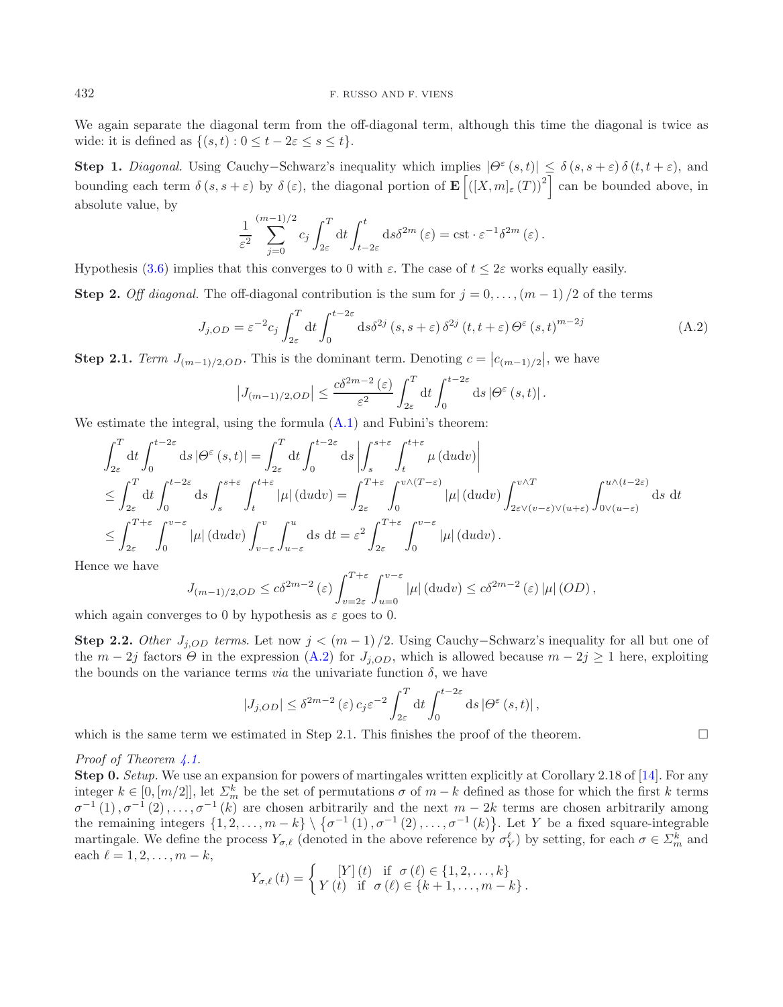We again separate the diagonal term from the off-diagonal term, although this time the diagonal is twice as wide: it is defined as  $\{(s,t):0 \leq t-2\varepsilon \leq s \leq t\}.$ 

**Step 1.** *Diagonal.* Using Cauchy–Schwarz's inequality which implies  $|\Theta^{\varepsilon}(s,t)| \leq \delta(s, s+\varepsilon) \delta(t, t+\varepsilon)$ , and bounding each term  $\delta(s, s + \varepsilon)$  by  $\delta(\varepsilon)$ , the diagonal portion of  $\mathbf{E} \left[ \left( [X, m]_{\varepsilon}(T) \right)^2 \right]$  can be bounded above, in absolute value, by

<span id="page-18-0"></span>
$$
\frac{1}{\varepsilon^2} \sum_{j=0}^{(m-1)/2} c_j \int_{2\varepsilon}^T dt \int_{t-2\varepsilon}^t ds \delta^{2m} (\varepsilon) = \text{cst} \cdot \varepsilon^{-1} \delta^{2m} (\varepsilon).
$$

Hypothesis [\(3.6\)](#page-10-4) implies that this converges to 0 with  $\varepsilon$ . The case of  $t \leq 2\varepsilon$  works equally easily.

**Step 2.** *Off diagonal.* The off-diagonal contribution is the sum for  $j = 0, \ldots, (m-1)/2$  of the terms

$$
J_{j,OD} = \varepsilon^{-2} c_j \int_{2\varepsilon}^T dt \int_0^{t-2\varepsilon} ds \delta^{2j} (s, s + \varepsilon) \delta^{2j} (t, t + \varepsilon) \Theta^{\varepsilon} (s, t)^{m-2j}
$$
(A.2)

**Step 2.1.** *Term*  $J_{(m-1)/2,OD}$ . This is the dominant term. Denoting  $c = |c_{(m-1)/2}|$ , we have

$$
\left|J_{(m-1)/2,OD}\right| \leq \frac{c\delta^{2m-2}(\varepsilon)}{\varepsilon^2} \int_{2\varepsilon}^T dt \int_0^{t-2\varepsilon} ds \left|\Theta^{\varepsilon}\left(s,t\right)\right|.
$$

We estimate the integral, using the formula  $(A.1)$  and Fubini's theorem:

$$
\int_{2\varepsilon}^{T} dt \int_{0}^{t-2\varepsilon} ds |\Theta^{\varepsilon}(s,t)| = \int_{2\varepsilon}^{T} dt \int_{0}^{t-2\varepsilon} ds \left| \int_{s}^{s+\varepsilon} \int_{t}^{t+\varepsilon} \mu(\mathrm{d}u \mathrm{d}v) \right|
$$
  
\n
$$
\leq \int_{2\varepsilon}^{T} dt \int_{0}^{t-2\varepsilon} ds \int_{s}^{s+\varepsilon} \int_{t}^{t+\varepsilon} |\mu|(\mathrm{d}u \mathrm{d}v) = \int_{2\varepsilon}^{T+\varepsilon} \int_{0}^{v \wedge (T-\varepsilon)} |\mu|(\mathrm{d}u \mathrm{d}v) \int_{2\varepsilon \vee (v-\varepsilon) \vee (u+\varepsilon)}^{v \wedge T} \int_{0 \vee (u-\varepsilon)}^{u \wedge (t-2\varepsilon)} ds dt
$$
  
\n
$$
\leq \int_{2\varepsilon}^{T+\varepsilon} \int_{0}^{v-\varepsilon} |\mu|(\mathrm{d}u \mathrm{d}v) \int_{v-\varepsilon}^{v} \int_{u-\varepsilon}^{u} ds dt = \varepsilon^{2} \int_{2\varepsilon}^{T+\varepsilon} \int_{0}^{v-\varepsilon} |\mu|(\mathrm{d}u \mathrm{d}v).
$$

Hence we have

$$
J_{(m-1)/2,OD} \le c\delta^{2m-2}(\varepsilon) \int_{v=2\varepsilon}^{T+\varepsilon} \int_{u=0}^{v-\varepsilon} |\mu| (du dv) \le c\delta^{2m-2}(\varepsilon) |\mu| (OD),
$$

which again converges to 0 by hypothesis as  $\varepsilon$  goes to 0.

**Step 2.2.** *Other*  $J_{j,OD}$  *terms*. Let now  $j < (m-1)/2$ . Using Cauchy–Schwarz's inequality for all but one of the  $m-2j$  factors  $\Theta$  in the expression [\(A.2\)](#page-18-0) for  $J_{j,OD}$ , which is allowed because  $m-2j \geq 1$  here, exploiting the bounds on the variance terms *via* the univariate function  $\delta$ , we have

$$
|J_{j,OD}| \leq \delta^{2m-2}(\varepsilon) c_j \varepsilon^{-2} \int_{2\varepsilon}^T dt \int_0^{t-2\varepsilon} ds |\Theta^{\varepsilon}(s,t)|,
$$

 $\Box$ 

which is the same term we estimated in Step 2.1. This finishes the proof of the theorem.

### *Proof of Theorem [4.1.](#page-11-2)*

**Step 0.** *Setup.* We use an expansion for powers of martingales written explicitly at Corollary 2.18 of [\[14](#page-25-8)]. For any integer  $k \in [0, [m/2]]$ , let  $\Sigma_m^k$  be the set of permutations  $\sigma$  of  $m-k$  defined as those for which the first k terms  $\sigma^{-1}(1), \sigma^{-1}(2), \ldots, \sigma^{-1}(k)$  are chosen arbitrarily and the next  $m-2k$  terms are chosen arbitrarily among the remaining integers  $\{1, 2, ..., m-k\} \setminus \{\sigma^{-1}(1), \sigma^{-1}(2), ..., \sigma^{-1}(k)\}\.$  Let Y be a fixed square-integrable martingale. We define the process  $Y_{\sigma,\ell}$  (denoted in the above reference by  $\sigma_Y^{\ell}$ ) by setting, for each  $\sigma \in \Sigma_m^k$  and each  $\ell = 1, 2, \ldots, m - k$ ,

$$
Y_{\sigma,\ell}(t) = \begin{cases} [Y](t) & \text{if } \sigma(\ell) \in \{1,2,\ldots,k\} \\ Y(t) & \text{if } \sigma(\ell) \in \{k+1,\ldots,m-k\} \, . \end{cases}
$$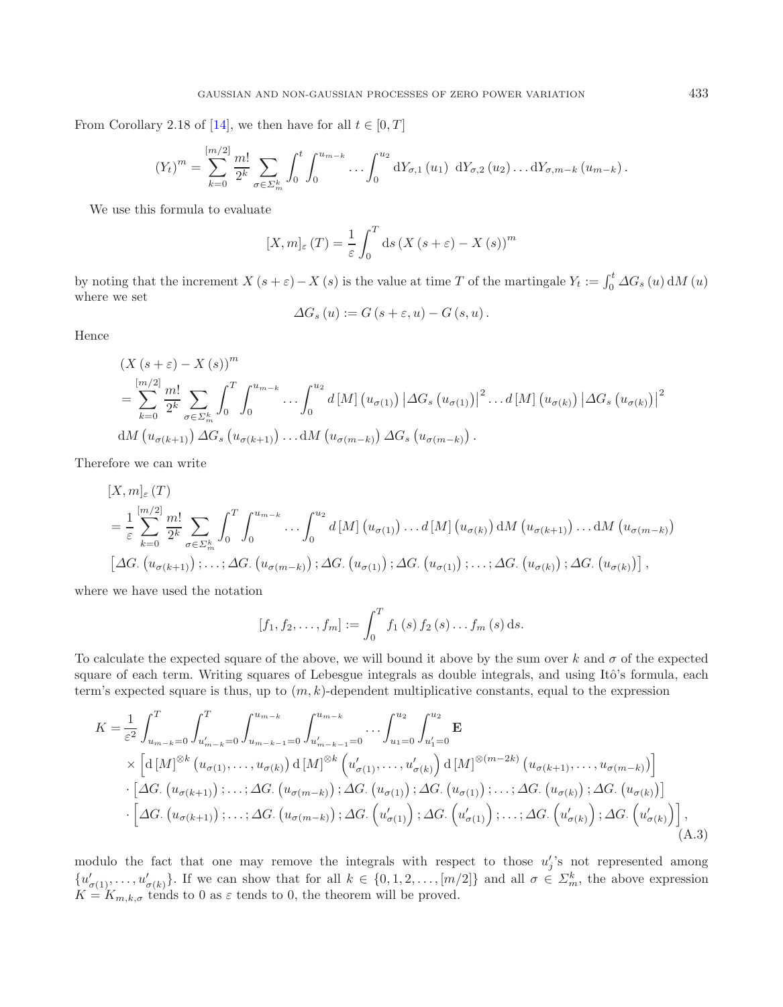From Corollary 2.18 of [\[14](#page-25-8)], we then have for all  $t \in [0, T]$ 

$$
(Y_t)^m = \sum_{k=0}^{[m/2]} \frac{m!}{2^k} \sum_{\sigma \in \Sigma_m^k} \int_0^t \int_0^{u_{m-k}} \dots \int_0^{u_2} dY_{\sigma,1}(u_1) dY_{\sigma,2}(u_2) \dots dY_{\sigma,m-k}(u_{m-k}).
$$

We use this formula to evaluate

$$
[X,m]_{\varepsilon}(T) = \frac{1}{\varepsilon} \int_0^T ds \left(X\left(s+\varepsilon\right) - X\left(s\right)\right)^m
$$

by noting that the increment  $X(s + \varepsilon) - X(s)$  is the value at time T of the martingale  $Y_t := \int_0^t \Delta G_s(u) dM(u)$ where we set

$$
\Delta G_s(u) := G(s + \varepsilon, u) - G(s, u).
$$

Hence

$$
(X (s + \varepsilon) - X (s)))m
$$
  
= 
$$
\sum_{k=0}^{\lfloor m/2 \rfloor} \frac{m!}{2^k} \sum_{\sigma \in \Sigma_m^k} \int_0^T \int_0^{u_{m-k}} \cdots \int_0^{u_2} d[M] \left( u_{\sigma(1)} \right) \left| \Delta G_s \left( u_{\sigma(1)} \right) \right|^2 \cdots d[M] \left( u_{\sigma(k)} \right) \left| \Delta G_s \left( u_{\sigma(k)} \right) \right|^2
$$
  
dM  $\left( u_{\sigma(k+1)} \right) \Delta G_s \left( u_{\sigma(k+1)} \right) \cdots dM \left( u_{\sigma(m-k)} \right) \Delta G_s \left( u_{\sigma(m-k)} \right).$ 

Therefore we can write

$$
[X, m]_{\varepsilon}(T)
$$
\n
$$
= \frac{1}{\varepsilon} \sum_{k=0}^{[m/2]} \frac{m!}{2^k} \sum_{\sigma \in \Sigma_m^k} \int_0^T \int_0^{u_{m-k}} \cdots \int_0^{u_2} d[M] \left( u_{\sigma(1)} \right) \cdots d[M] \left( u_{\sigma(k)} \right) dM \left( u_{\sigma(k+1)} \right) \cdots dM \left( u_{\sigma(m-k)} \right)
$$
\n
$$
[\Delta G. \left( u_{\sigma(k+1)} \right); \cdots; \Delta G. \left( u_{\sigma(m-k)} \right); \Delta G. \left( u_{\sigma(1)} \right); \Delta G. \left( u_{\sigma(1)} \right); \cdots; \Delta G. \left( u_{\sigma(k)} \right); \Delta G. \left( u_{\sigma(k)} \right)],
$$

where we have used the notation

<span id="page-19-0"></span>
$$
[f_1, f_2, \ldots, f_m] := \int_0^T f_1(s) f_2(s) \ldots f_m(s) ds.
$$

To calculate the expected square of the above, we will bound it above by the sum over k and  $\sigma$  of the expected square of each term. Writing squares of Lebesgue integrals as double integrals, and using Itô's formula, each term's expected square is thus, up to  $(m, k)$ -dependent multiplicative constants, equal to the expression

$$
K = \frac{1}{\varepsilon^2} \int_{u_{m-k}=0}^{T} \int_{u'_{m-k}=0}^{u_{m-k}} \int_{u'_{m-k-1}=0}^{u_{m-k}} \int_{u'_{m-k-1}=0}^{u_{m-k}} \cdots \int_{u_1=0}^{u_2} \int_{u'_1=0}^{u_2} \mathbf{E}
$$
  
\n
$$
\times \left[ \mathrm{d}\left[M\right]^{\otimes k} \left( u_{\sigma(1)}, \ldots, u_{\sigma(k)} \right) \mathrm{d}\left[M\right]^{\otimes k} \left( u'_{\sigma(1)}, \ldots, u'_{\sigma(k)} \right) \mathrm{d}\left[M\right]^{\otimes (m-2k)} \left( u_{\sigma(k+1)}, \ldots, u_{\sigma(m-k)} \right) \right]
$$
  
\n
$$
\cdot \left[ \Delta G. \left( u_{\sigma(k+1)} \right); \ldots; \Delta G. \left( u_{\sigma(m-k)} \right); \Delta G. \left( u_{\sigma(1)} \right); \Delta G. \left( u_{\sigma(1)} \right); \ldots; \Delta G. \left( u_{\sigma(k)} \right); \Delta G. \left( u'_{\sigma(k)} \right) \right]
$$
  
\n
$$
\cdot \left[ \Delta G. \left( u_{\sigma(k+1)} \right); \ldots; \Delta G. \left( u_{\sigma(m-k)} \right); \Delta G. \left( u'_{\sigma(1)} \right); \Delta G. \left( u'_{\sigma(1)} \right); \ldots; \Delta G. \left( u'_{\sigma(k)} \right); \Delta G. \left( u'_{\sigma(k)} \right) \right], \tag{A.3}
$$

modulo the fact that one may remove the integrals with respect to those  $u'_j$ 's not represented among  $\{u'_{\sigma(1)},\ldots,u'_{\sigma(k)}\}\.$  If we can show that for all  $k \in \{0,1,2,\ldots,[m/2]\}\.$  and all  $\sigma \in \Sigma_m^k$ , the above expression  $K = K_{m,k,\sigma}$  tends to 0 as  $\varepsilon$  tends to 0, the theorem will be proved.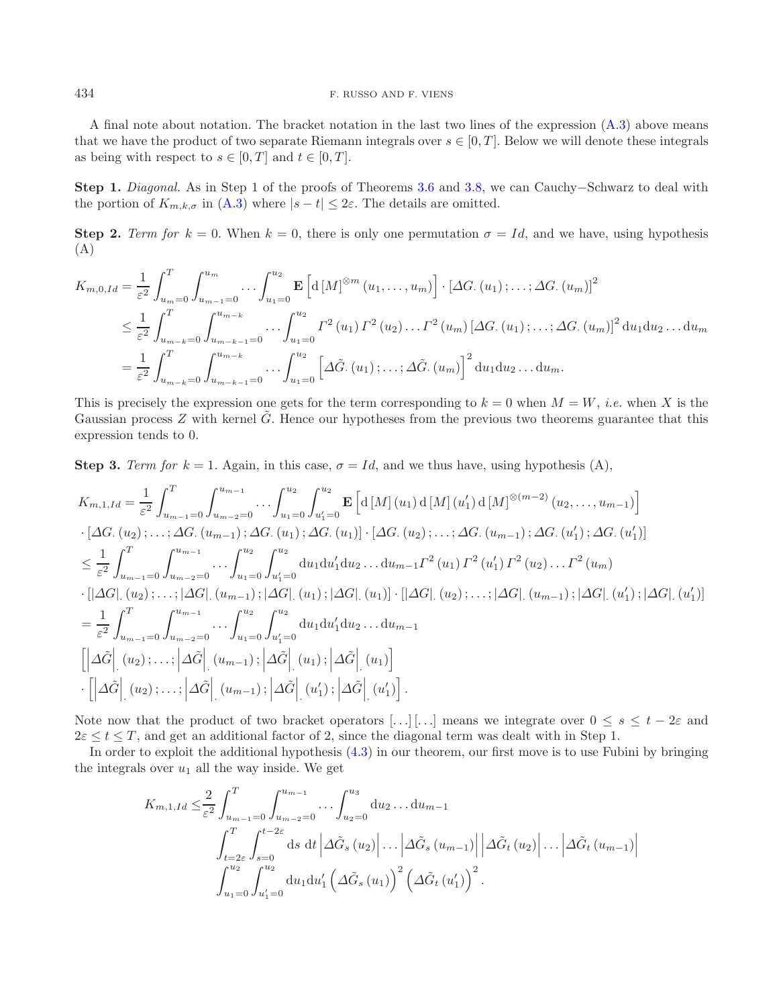A final note about notation. The bracket notation in the last two lines of the expression [\(A.3\)](#page-19-0) above means that we have the product of two separate Riemann integrals over  $s \in [0, T]$ . Below we will denote these integrals as being with respect to  $s \in [0, T]$  and  $t \in [0, T]$ .

**Step 1.** *Diagonal.* As in Step 1 of the proofs of Theorems [3.6](#page-6-0) and [3.8,](#page-10-0) we can Cauchy−Schwarz to deal with the portion of  $K_{m,k,\sigma}$  in [\(A.3\)](#page-19-0) where  $|s-t| \leq 2\varepsilon$ . The details are omitted.

**Step 2.** *Term for*  $k = 0$ . When  $k = 0$ , there is only one permutation  $\sigma = Id$ , and we have, using hypothesis (A)

$$
K_{m,0,Id} = \frac{1}{\varepsilon^2} \int_{u_m=0}^{T} \int_{u_{m-1}=0}^{u_m} \cdots \int_{u_1=0}^{u_2} \mathbf{E} \left[ d \left[ M \right]^{\otimes m} (u_1, \ldots, u_m) \right] \cdot \left[ \Delta G. (u_1); \ldots; \Delta G. (u_m) \right]^2
$$
  
\n
$$
\leq \frac{1}{\varepsilon^2} \int_{u_{m-k}=0}^{T} \int_{u_{m-k}=1}^{u_{m-k}} \cdots \int_{u_1=0}^{u_2} I^2(u_1) I^2(u_2) \ldots I^2(u_m) \left[ \Delta G. (u_1); \ldots; \Delta G. (u_m) \right]^2 du_1 du_2 \ldots du_m
$$
  
\n
$$
= \frac{1}{\varepsilon^2} \int_{u_{m-k}=0}^{T} \int_{u_{m-k}=0}^{u_{m-k}} \cdots \int_{u_1=0}^{u_2} \left[ \Delta \tilde{G}. (u_1); \ldots; \Delta \tilde{G}. (u_m) \right]^2 du_1 du_2 \ldots du_m.
$$

This is precisely the expression one gets for the term corresponding to  $k = 0$  when  $M = W$ , *i.e.* when X is the Gaussian process  $Z$  with kernel  $\tilde{G}$ . Hence our hypotheses from the previous two theorems guarantee that this expression tends to 0.

**Step 3.** *Term for*  $k = 1$ . Again, in this case,  $\sigma = Id$ , and we thus have, using hypothesis (A),

$$
K_{m,1,Id} = \frac{1}{\varepsilon^2} \int_{u_{m-1}=0}^{T} \int_{u_{m-2}=0}^{u_{m-1}} \cdots \int_{u_1=0}^{u_2} \int_{u_1'=0}^{u_2} \mathbf{E} \left[ d \left[ M \right] (u_1) d \left[ M \right] (u_1') d \left[ M \right]^{\otimes (m-2)} (u_2, \ldots, u_{m-1}) \right] \cdot \left[ \Delta G. (u_2) ; \ldots ; \Delta G. (u_{m-1}) ; \Delta G. (u_1) ; \Delta G. (u_1) \right] \cdot \left[ \Delta G. (u_2) ; \ldots ; \Delta G. (u_{m-1}) ; \Delta G. (u_1') ; \Delta G. (u_1') \right] \n\leq \frac{1}{\varepsilon^2} \int_{u_{m-1}=0}^{T} \int_{u_{m-2}=0}^{u_{m-1}} \cdots \int_{u_1=0}^{u_2} \int_{u_1'=0}^{u_2} du_1 du_1' du_2 \ldots du_{m-1} I^2 (u_1) I^2 (u_1') I^2 (u_2) \ldots I^2 (u_m) \n\cdot \left[ |\Delta G| . (u_2) ; \ldots ; |\Delta G| . (u_{m-1}) ; |\Delta G| . (u_1) ; |\Delta G| . (u_1) \right] \cdot \left[ |\Delta G| . (u_2) ; \ldots ; |\Delta G| . (u_1') ; |\Delta G| . (u_1') \right] \cdot \Delta G | . (u_1') ; |\Delta G| . (u_1') \right] \n= \frac{1}{\varepsilon^2} \int_{u_{m-1}=0}^{T} \int_{u_{m-2}=0}^{u_{m-1}} \cdots \int_{u_1=0}^{u_2} \int_{u_1'=0}^{u_2} du_1 du_1' du_2 \ldots du_{m-1} \n\left[ |\Delta \tilde{G}| . (u_2) ; \ldots ; |\Delta \tilde{G}| . (u_{m-1}) ; |\Delta \tilde{G}| . (u_1) ; |\Delta \tilde{G}| . (u_1) \right] \n\cdot \left[ |\Delta \tilde{G}| . (u_2) ; \ldots ; |\Delta \tilde{G}| . (u_{m-1}) ; |\Delta \tilde{G}| . (u_1
$$

Note now that the product of two bracket operators [...] [...] means we integrate over  $0 \leq s \leq t - 2\varepsilon$  and  $2\varepsilon \leq t \leq T$ , and get an additional factor of 2, since the diagonal term was dealt with in Step 1.

In order to exploit the additional hypothesis [\(4.3\)](#page-11-6) in our theorem, our first move is to use Fubini by bringing the integrals over  $u_1$  all the way inside. We get

$$
K_{m,1,Id} \leq \frac{2}{\varepsilon^2} \int_{u_{m-1}=0}^{T} \int_{u_{m-2}=0}^{u_{m-1}} \cdots \int_{u_2=0}^{u_3} du_2 \ldots du_{m-1}
$$
  

$$
\int_{t=2\varepsilon}^{T} \int_{s=0}^{t-2\varepsilon} ds \, dt \, \left| \Delta \tilde{G}_s (u_2) \right| \ldots \left| \Delta \tilde{G}_s (u_{m-1}) \right| \left| \Delta \tilde{G}_t (u_2) \right| \ldots \left| \Delta \tilde{G}_t (u_{m-1}) \right|
$$
  

$$
\int_{u_1=0}^{u_2} \int_{u_1'=0}^{u_2} du_1 du_1' \left( \Delta \tilde{G}_s (u_1) \right)^2 \left( \Delta \tilde{G}_t (u_1') \right)^2.
$$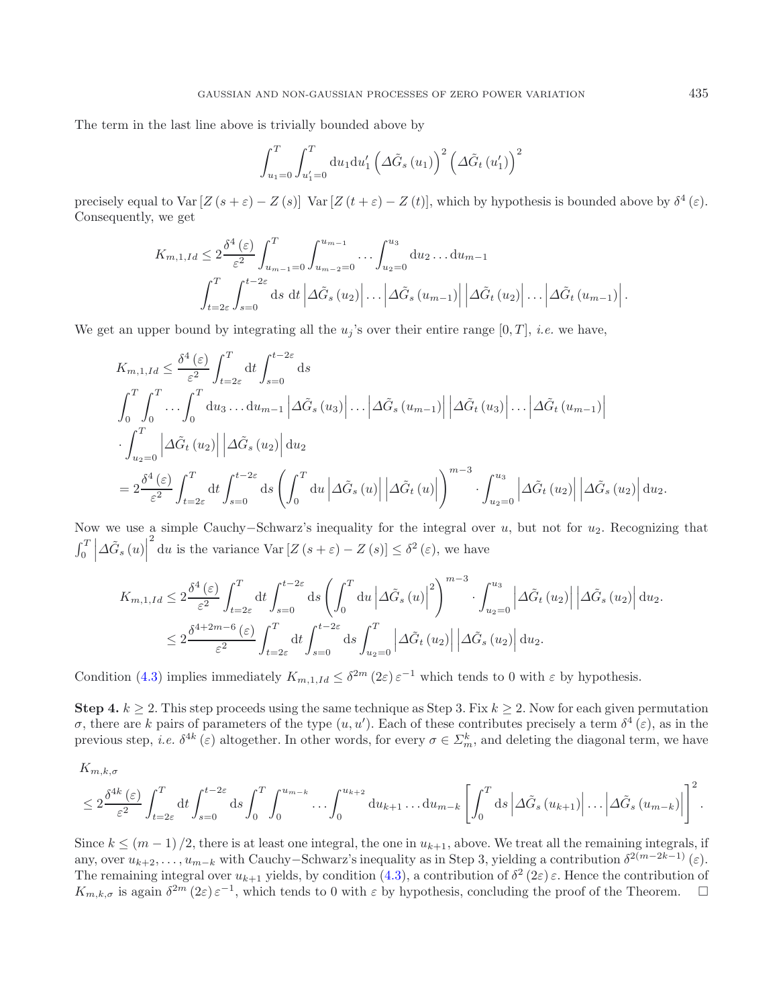The term in the last line above is trivially bounded above by

$$
\int_{u_1=0}^T \int_{u_1'=0}^T du_1 du_1' \left(\Delta \tilde{G}_s(u_1)\right)^2 \left(\Delta \tilde{G}_t(u_1')\right)^2
$$

precisely equal to Var  $[Z(s+\varepsilon)-Z(s)]$  Var  $[Z(t+\varepsilon)-Z(t)]$ , which by hypothesis is bounded above by  $\delta^4(\varepsilon)$ . Consequently, we get

$$
K_{m,1,Id} \leq 2 \frac{\delta^4 \left(\varepsilon\right)}{\varepsilon^2} \int_{u_{m-1}=0}^T \int_{u_{m-2}=0}^{u_{m-1}} \dots \int_{u_2=0}^{u_3} \mathrm{d}u_2 \dots \mathrm{d}u_{m-1}
$$

$$
\int_{t=2\varepsilon}^T \int_{s=0}^{t-2\varepsilon} \mathrm{d}s \, \mathrm{d}t \left| \Delta \tilde{G}_s\left(u_2\right) \right| \dots \left| \Delta \tilde{G}_s\left(u_{m-1}\right) \right| \left| \Delta \tilde{G}_t\left(u_2\right) \right| \dots \left| \Delta \tilde{G}_t\left(u_{m-1}\right) \right|.
$$

We get an upper bound by integrating all the  $u_j$ 's over their entire range  $[0, T]$ , *i.e.* we have,

$$
K_{m,1,Id} \leq \frac{\delta^4(\varepsilon)}{\varepsilon^2} \int_{t=2\varepsilon}^T dt \int_{s=0}^{t-2\varepsilon} ds
$$
  

$$
\int_0^T \int_0^T \dots \int_0^T du_3 \dots du_{m-1} \left| \Delta \tilde{G}_s (u_3) \right| \dots \left| \Delta \tilde{G}_s (u_{m-1}) \right| \left| \Delta \tilde{G}_t (u_3) \right| \dots \left| \Delta \tilde{G}_t (u_{m-1}) \right|
$$
  

$$
\int_{u_2=0}^T \left| \Delta \tilde{G}_t (u_2) \right| \left| \Delta \tilde{G}_s (u_2) \right| du_2
$$
  

$$
= 2 \frac{\delta^4(\varepsilon)}{\varepsilon^2} \int_{t=2\varepsilon}^T dt \int_{s=0}^{t-2\varepsilon} ds \left( \int_0^T du \left| \Delta \tilde{G}_s (u) \right| \left| \Delta \tilde{G}_t (u) \right| \right)^{m-3} \cdot \int_{u_2=0}^{u_3} \left| \Delta \tilde{G}_t (u_2) \right| \left| \Delta \tilde{G}_s (u_2) \right| du_2.
$$

Now we use a simple Cauchy–Schwarz's inequality for the integral over  $u$ , but not for  $u_2$ . Recognizing that  $\int_0^T$  $\left| \Delta \tilde{G}_{s}\left(u\right)\right|$  $\int_{0}^{2}$  du is the variance Var  $[Z(s+\varepsilon)-Z(s)] \leq \delta^{2}(\varepsilon)$ , we have

$$
K_{m,1,Id} \leq 2 \frac{\delta^4(\varepsilon)}{\varepsilon^2} \int_{t=2\varepsilon}^T dt \int_{s=0}^{t-2\varepsilon} ds \left( \int_0^T du \left| \Delta \tilde{G}_s \left( u \right) \right|^2 \right)^{m-3} \cdot \int_{u_2=0}^{u_3} \left| \Delta \tilde{G}_t \left( u_2 \right) \right| \left| \Delta \tilde{G}_s \left( u_2 \right) \right| du_2.
$$
  

$$
\leq 2 \frac{\delta^{4+2m-6}(\varepsilon)}{\varepsilon^2} \int_{t=2\varepsilon}^T dt \int_{s=0}^{t-2\varepsilon} ds \int_{u_2=0}^T \left| \Delta \tilde{G}_t \left( u_2 \right) \right| \left| \Delta \tilde{G}_s \left( u_2 \right) \right| du_2.
$$

Condition [\(4.3\)](#page-11-6) implies immediately  $K_{m,1,Id} \leq \delta^{2m} (2\varepsilon) \varepsilon^{-1}$  which tends to 0 with  $\varepsilon$  by hypothesis.

**Step 4.**  $k > 2$ . This step proceeds using the same technique as Step 3. Fix  $k \ge 2$ . Now for each given permutation σ, there are k pairs of parameters of the type  $(u, u')$ . Each of these contributes precisely a term  $δ<sup>4</sup>(ε)$ , as in the previous step, *i.e.*  $\delta^{4k}(\varepsilon)$  altogether. In other words, for every  $\sigma \in \Sigma_m^k$ , and deleting the diagonal term, we have

$$
K_{m,k,\sigma}
$$
  
\n
$$
\leq 2 \frac{\delta^{4k}(\varepsilon)}{\varepsilon^2} \int_{t=2\varepsilon}^T dt \int_{s=0}^{t-2\varepsilon} ds \int_0^T \int_0^{u_{m-k}} \dots \int_0^{u_{k+2}} du_{k+1} \dots du_{m-k} \left[ \int_0^T ds \left| \Delta \tilde{G}_s(u_{k+1}) \right| \dots \left| \Delta \tilde{G}_s(u_{m-k}) \right| \right]^2
$$

Since  $k \leq (m-1)/2$ , there is at least one integral, the one in  $u_{k+1}$ , above. We treat all the remaining integrals, if any, over  $u_{k+2},\ldots,u_{m-k}$  with Cauchy–Schwarz's inequality as in Step 3, yielding a contribution  $\delta^{2(m-2k-1)}(\varepsilon)$ . The remaining integral over  $u_{k+1}$  yields, by condition  $(4.3)$ , a contribution of  $\delta^2$  (2 $\varepsilon$ )  $\varepsilon$ . Hence the contribution of  $K_{m,k,\sigma}$  is again  $\delta^{2m}(2\varepsilon) \varepsilon^{-1}$ , which tends to 0 with  $\varepsilon$  by hypothesis, concluding the proof of the Theorem.  $\Box$ 

.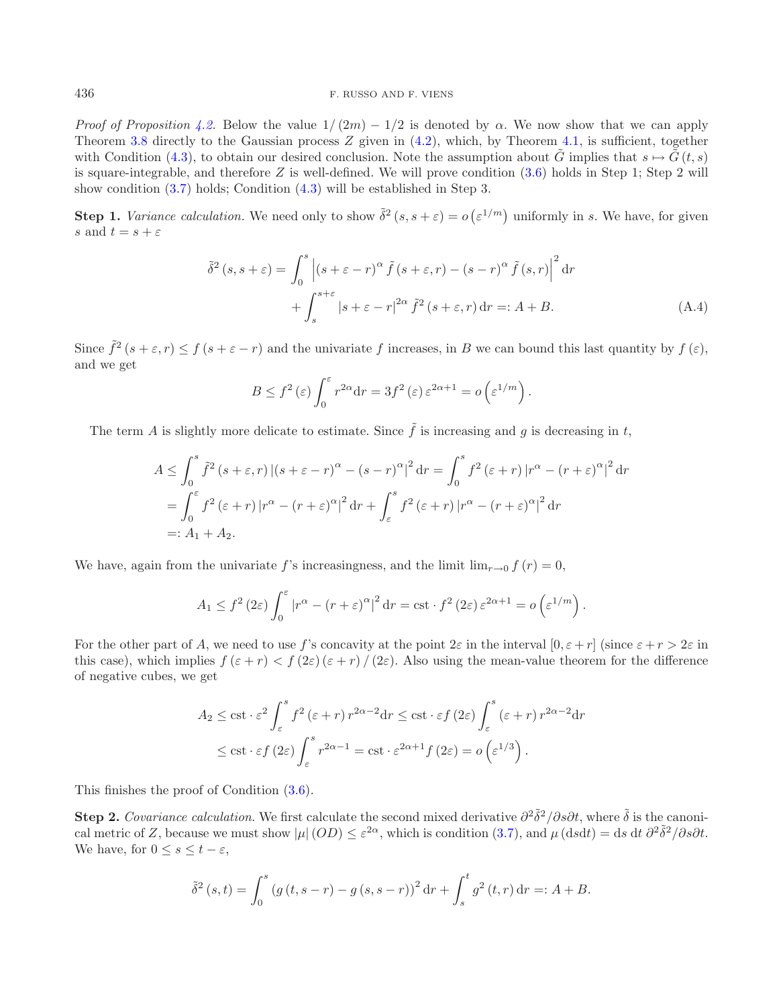*Proof of Proposition* [4.2.](#page-11-3) Below the value  $1/(2m) - 1/2$  is denoted by  $\alpha$ . We now show that we can apply Theorem [3.8](#page-10-0) directly to the Gaussian process Z given in  $(4.2)$ , which, by Theorem [4.1,](#page-11-2) is sufficient, together with Condition [\(4.3\)](#page-11-6), to obtain our desired conclusion. Note the assumption about G implies that  $s \mapsto G(t, s)$ is square-integrable, and therefore  $Z$  is well-defined. We will prove condition  $(3.6)$  holds in Step 1; Step 2 will show condition [\(3.7\)](#page-10-5) holds; Condition [\(4.3\)](#page-11-6) will be established in Step 3.

**Step 1.** *Variance calculation*. We need only to show  $\tilde{\delta}^2(s, s + \varepsilon) = o(\varepsilon^{1/m})$  uniformly in s. We have, for given s and  $t = s + \varepsilon$ 

$$
\tilde{\delta}^{2}(s,s+\varepsilon) = \int_{0}^{s} \left| (s+\varepsilon-r)^{\alpha} \tilde{f}(s+\varepsilon,r) - (s-r)^{\alpha} \tilde{f}(s,r) \right|^{2} dr
$$

$$
+ \int_{s}^{s+\varepsilon} |s+\varepsilon-r|^{2\alpha} \tilde{f}^{2}(s+\varepsilon,r) dr =: A+B.
$$
 (A.4)

Since  $\tilde{f}^2$   $(s + \varepsilon, r) \le f(s + \varepsilon - r)$  and the univariate f increases, in B we can bound this last quantity by  $f(\varepsilon)$ , and we get

$$
B \le f^2(\varepsilon) \int_0^{\varepsilon} r^{2\alpha} dr = 3f^2(\varepsilon) \varepsilon^{2\alpha+1} = o\left(\varepsilon^{1/m}\right).
$$

The term A is slightly more delicate to estimate. Since  $\tilde{f}$  is increasing and g is decreasing in t,

$$
A \leq \int_0^s \tilde{f}^2 (s+\varepsilon, r) \left| (s+\varepsilon-r)^\alpha - (s-r)^\alpha \right|^2 dr = \int_0^s f^2 (\varepsilon + r) \left| r^\alpha - (r+\varepsilon)^\alpha \right|^2 dr
$$
  
= 
$$
\int_0^\varepsilon f^2 (\varepsilon + r) \left| r^\alpha - (r+\varepsilon)^\alpha \right|^2 dr + \int_\varepsilon^s f^2 (\varepsilon + r) \left| r^\alpha - (r+\varepsilon)^\alpha \right|^2 dr
$$
  
=: 
$$
A_1 + A_2.
$$

We have, again from the univariate f's increasingness, and the limit  $\lim_{r\to 0} f(r) = 0$ ,

$$
A_1 \le f^2 (2\varepsilon) \int_0^\varepsilon \left| r^\alpha - (r + \varepsilon)^\alpha \right|^2 dr = \text{cst} \cdot f^2 (2\varepsilon) \varepsilon^{2\alpha + 1} = o\left(\varepsilon^{1/m}\right).
$$

For the other part of A, we need to use f's concavity at the point  $2\varepsilon$  in the interval  $[0, \varepsilon + r]$  (since  $\varepsilon + r > 2\varepsilon$  in this case), which implies  $f(\varepsilon + r) < f(2\varepsilon)(\varepsilon + r) / (2\varepsilon)$ . Also using the mean-value theorem for the difference of negative cubes, we get

$$
A_2 \leq \text{cst} \cdot \varepsilon^2 \int_{\varepsilon}^s f^2(\varepsilon + r) r^{2\alpha - 2} dr \leq \text{cst} \cdot \varepsilon f(2\varepsilon) \int_{\varepsilon}^s (\varepsilon + r) r^{2\alpha - 2} dr
$$
  

$$
\leq \text{cst} \cdot \varepsilon f(2\varepsilon) \int_{\varepsilon}^s r^{2\alpha - 1} = \text{cst} \cdot \varepsilon^{2\alpha + 1} f(2\varepsilon) = o\left(\varepsilon^{1/3}\right).
$$

This finishes the proof of Condition [\(3.6\)](#page-10-4).

**Step 2.** *Covariance calculation*. We first calculate the second mixed derivative  $\frac{\partial^2 \tilde{\delta}^2}{\partial s \partial t}$ , where  $\tilde{\delta}$  is the canonical metric of Z, because we must show  $|\mu|(OD) \leq \varepsilon^{2\alpha}$ , which is condition [\(3.7\)](#page-10-5), and  $\mu(dsdt)=ds dt \frac{\partial^2 \tilde{\delta}^2}{\partial s \partial t}$ . We have, for  $0 \leq s \leq t - \varepsilon$ ,

$$
\tilde{\delta}^{2}(s,t) = \int_{0}^{s} (g(t,s-r) - g(s,s-r))^{2} dr + \int_{s}^{t} g^{2}(t,r) dr =: A + B.
$$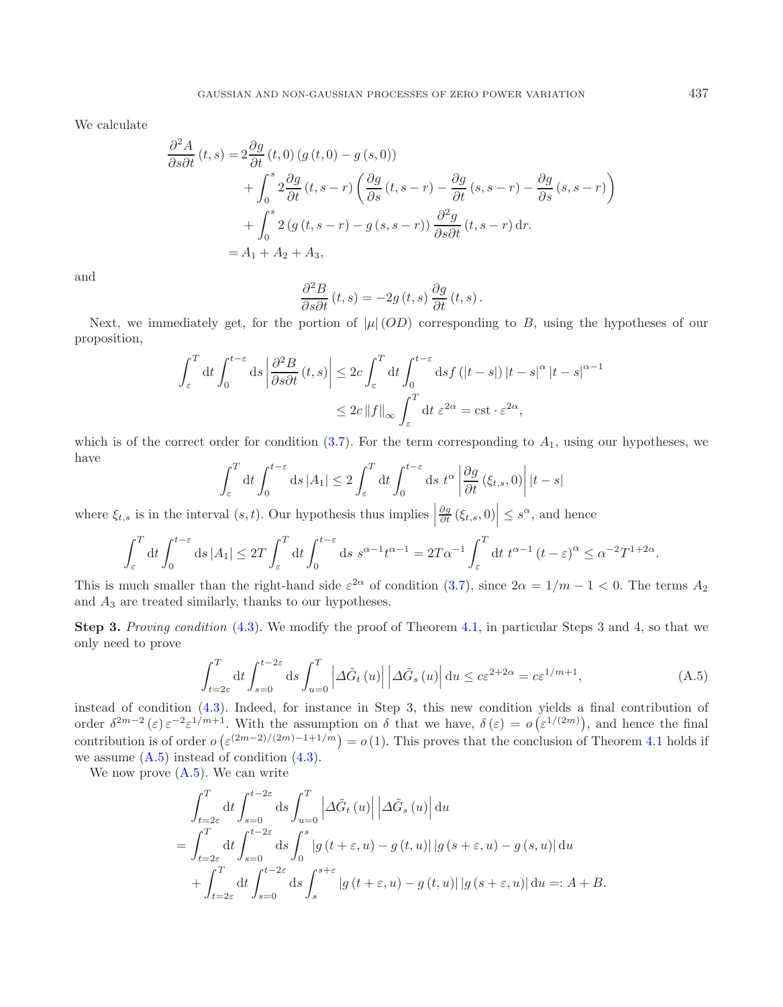We calculate

$$
\frac{\partial^2 A}{\partial s \partial t}(t,s) = 2 \frac{\partial g}{\partial t}(t,0) (g(t,0) - g(s,0)) \n+ \int_0^s 2 \frac{\partial g}{\partial t}(t,s-r) \left( \frac{\partial g}{\partial s}(t,s-r) - \frac{\partial g}{\partial t}(s,s-r) - \frac{\partial g}{\partial s}(s,s-r) \right) \n+ \int_0^s 2 (g(t,s-r) - g(s,s-r)) \frac{\partial^2 g}{\partial s \partial t}(t,s-r) dr.\n= A_1 + A_2 + A_3,
$$

and

$$
\frac{\partial^2 B}{\partial s \partial t}(t,s) = -2g(t,s)\frac{\partial g}{\partial t}(t,s).
$$

Next, we immediately get, for the portion of  $|\mu|(OD)$  corresponding to B, using the hypotheses of our proposition,

$$
\int_{\varepsilon}^{T} dt \int_{0}^{t-\varepsilon} ds \left| \frac{\partial^{2} B}{\partial s \partial t} (t, s) \right| \leq 2c \int_{\varepsilon}^{T} dt \int_{0}^{t-\varepsilon} ds f(|t-s|) |t-s|^{\alpha} |t-s|^{\alpha-1}
$$
  

$$
\leq 2c \|f\|_{\infty} \int_{\varepsilon}^{T} dt \, \varepsilon^{2\alpha} = \text{cst} \cdot \varepsilon^{2\alpha},
$$

<span id="page-23-0"></span>which is of the correct order for condition  $(3.7)$ . For the term corresponding to  $A_1$ , using our hypotheses, we have

$$
\int_{\varepsilon}^{T} dt \int_{0}^{t-\varepsilon} ds |A_{1}| \leq 2 \int_{\varepsilon}^{T} dt \int_{0}^{t-\varepsilon} ds \ t^{\alpha} \left| \frac{\partial g}{\partial t} (\xi_{t,s}, 0) \right| |t-s|
$$

where  $\xi_{t,s}$  is in the interval  $(s, t)$ . Our hypothesis thus implies  $\frac{\partial g}{\partial t}(\xi_{t,s},0)\Big|\leq s^{\alpha}$ , and hence

$$
\int_{\varepsilon}^{T} dt \int_{0}^{t-\varepsilon} ds \, |A_1| \leq 2T \int_{\varepsilon}^{T} dt \int_{0}^{t-\varepsilon} ds \, s^{\alpha-1} t^{\alpha-1} = 2T\alpha^{-1} \int_{\varepsilon}^{T} dt \, t^{\alpha-1} \left(t-\varepsilon\right)^{\alpha} \leq \alpha^{-2} T^{1+2\alpha}.
$$

This is much smaller than the right-hand side  $\varepsilon^{2\alpha}$  of condition [\(3.7\)](#page-10-5), since  $2\alpha = 1/m - 1 < 0$ . The terms  $A_2$ and  $A_3$  are treated similarly, thanks to our hypotheses.

**Step 3.** *Proving condition* [\(4.3\)](#page-11-6). We modify the proof of Theorem [4.1,](#page-11-2) in particular Steps 3 and 4, so that we only need to prove

$$
\int_{t=2\varepsilon}^{T} dt \int_{s=0}^{t-2\varepsilon} ds \int_{u=0}^{T} \left| \Delta \tilde{G}_t \left( u \right) \right| \left| \Delta \tilde{G}_s \left( u \right) \right| du \leq c \varepsilon^{2+2\alpha} = c \varepsilon^{1/m+1},\tag{A.5}
$$

instead of condition [\(4.3\)](#page-11-6). Indeed, for instance in Step 3, this new condition yields a final contribution of order  $\delta^{2m-2}(\varepsilon) \varepsilon^{-2} \varepsilon^{1/m+1}$ . With the assumption on  $\delta$  that we have,  $\delta(\varepsilon) = o(\varepsilon^{1/(2m)})$ , and hence the final contribution is of order  $o(\varepsilon^{(2m-2)/(2m)-1+1/m}) = o(1)$ . This proves that the conclusion of Theorem [4.1](#page-11-2) holds if we assume  $(A.5)$  instead of condition  $(4.3)$ .

We now prove  $(A.5)$ . We can write

$$
\int_{t=2\varepsilon}^{T} dt \int_{s=0}^{t-2\varepsilon} ds \int_{u=0}^{T} \left| \Delta \tilde{G}_t (u) \right| \left| \Delta \tilde{G}_s (u) \right| du
$$
  
= 
$$
\int_{t=2\varepsilon}^{T} dt \int_{s=0}^{t-2\varepsilon} ds \int_{0}^{s} |g(t+\varepsilon, u) - g(t, u)| |g(s+\varepsilon, u) - g(s, u)| du
$$
  
+ 
$$
\int_{t=2\varepsilon}^{T} dt \int_{s=0}^{t-2\varepsilon} ds \int_{s}^{s+\varepsilon} |g(t+\varepsilon, u) - g(t, u)| |g(s+\varepsilon, u)| du =: A + B.
$$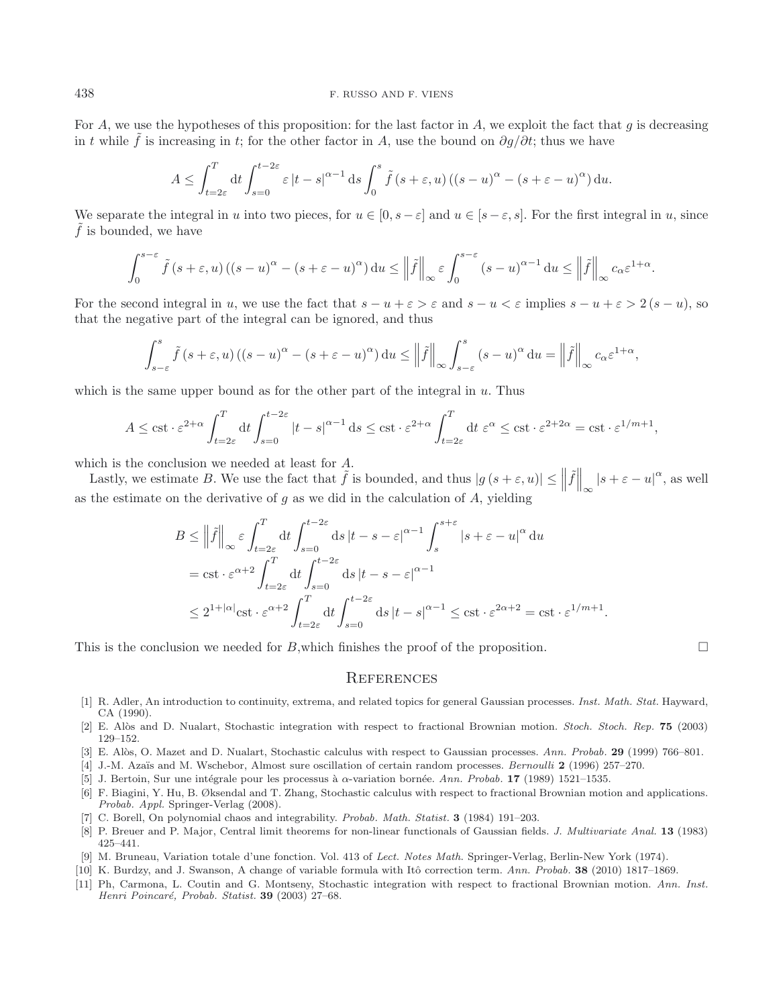#### 438 F. RUSSO AND F. VIENS

For A, we use the hypotheses of this proposition: for the last factor in A, we exploit the fact that g is decreasing in t while  $\tilde{f}$  is increasing in t; for the other factor in A, use the bound on  $\partial q/\partial t$ ; thus we have

$$
A \leq \int_{t=2\varepsilon}^T dt \int_{s=0}^{t-2\varepsilon} \varepsilon |t-s|^{\alpha-1} ds \int_0^s \tilde{f}(s+\varepsilon, u) ((s-u)^\alpha - (s+\varepsilon-u)^\alpha) du.
$$

We separate the integral in u into two pieces, for  $u \in [0, s - \varepsilon]$  and  $u \in [s - \varepsilon, s]$ . For the first integral in u, since  $\tilde{f}$  is bounded, we have

$$
\int_0^{s-\varepsilon} \tilde{f}(s+\varepsilon, u) \left( (s-u)^{\alpha} - (s+\varepsilon-u)^{\alpha} \right) du \leq \left\| \tilde{f} \right\|_{\infty} \varepsilon \int_0^{s-\varepsilon} (s-u)^{\alpha-1} du \leq \left\| \tilde{f} \right\|_{\infty} c_{\alpha} \varepsilon^{1+\alpha}.
$$

For the second integral in u, we use the fact that  $s - u + \varepsilon > \varepsilon$  and  $s - u < \varepsilon$  implies  $s - u + \varepsilon > 2$   $(s - u)$ , so that the negative part of the integral can be ignored, and thus

$$
\int_{s-\varepsilon}^{s} \tilde{f}(s+\varepsilon, u) \left( (s-u)^{\alpha} - (s+\varepsilon-u)^{\alpha} \right) du \leq \left\| \tilde{f} \right\|_{\infty} \int_{s-\varepsilon}^{s} (s-u)^{\alpha} du = \left\| \tilde{f} \right\|_{\infty} c_{\alpha} \varepsilon^{1+\alpha},
$$

which is the same upper bound as for the other part of the integral in  $u$ . Thus

$$
A \leq \text{cst} \cdot \varepsilon^{2+\alpha} \int_{t=2\varepsilon}^T dt \int_{s=0}^{t-2\varepsilon} |t-s|^{\alpha-1} ds \leq \text{cst} \cdot \varepsilon^{2+\alpha} \int_{t=2\varepsilon}^T dt \; \varepsilon^{\alpha} \leq \text{cst} \cdot \varepsilon^{2+2\alpha} = \text{cst} \cdot \varepsilon^{1/m+1},
$$

which is the conclusion we needed at least for A.

Lastly, we estimate B. We use the fact that  $\tilde{f}$  is bounded, and thus  $|g(s+\varepsilon, u)| \leq ||\tilde{f}||_{\infty} |s+\varepsilon-u|^{\alpha}$ , as well as the estimate on the derivative of  $g$  as we did in the calculation of  $A$ , yielding

$$
B \leq \left\| \tilde{f} \right\|_{\infty} \varepsilon \int_{t=2\varepsilon}^{T} dt \int_{s=0}^{t-2\varepsilon} ds \left| t-s-\varepsilon \right|^{\alpha-1} \int_{s}^{s+\varepsilon} \left| s+\varepsilon-u \right|^{\alpha} du
$$
  
=  $\text{cst} \cdot \varepsilon^{\alpha+2} \int_{t=2\varepsilon}^{T} dt \int_{s=0}^{t-2\varepsilon} ds \left| t-s-\varepsilon \right|^{\alpha-1}$   
 $\leq 2^{1+|\alpha|} \text{cst} \cdot \varepsilon^{\alpha+2} \int_{t=2\varepsilon}^{T} dt \int_{s=0}^{t-2\varepsilon} ds \left| t-s \right|^{\alpha-1} \leq \text{cst} \cdot \varepsilon^{2\alpha+2} = \text{cst} \cdot \varepsilon^{1/m+1}.$ 

This is the conclusion we needed for  $B$ , which finishes the proof of the proposition.

 $\Box$ 

# **REFERENCES**

- [1] R. Adler, An introduction to continuity, extrema, and related topics for general Gaussian processes. *Inst. Math. Stat.* Hayward, CA (1990).
- <span id="page-24-3"></span>[2] E. Al`os and D. Nualart, Stochastic integration with respect to fractional Brownian motion. *Stoch. Stoch. Rep.* **75** (2003) 129–152.
- [3] E. Al`os, O. Mazet and D. Nualart, Stochastic calculus with respect to Gaussian processes. *Ann. Probab.* **29** (1999) 766–801.
- <span id="page-24-1"></span>[4] J.-M. Aza¨ıs and M. Wschebor, Almost sure oscillation of certain random processes. *Bernoulli* **2** (1996) 257–270.
- [5] J. Bertoin, Sur une int´egrale pour les processus `a α-variation born´ee. *Ann. Probab.* **17** (1989) 1521–1535.
- <span id="page-24-4"></span>[6] F. Biagini, Y. Hu, B. Øksendal and T. Zhang, Stochastic calculus with respect to fractional Brownian motion and applications. *Probab. Appl.* Springer-Verlag (2008).
- [7] C. Borell, On polynomial chaos and integrability. *Probab. Math. Statist.* **3** (1984) 191–203.
- <span id="page-24-7"></span><span id="page-24-2"></span>[8] P. Breuer and P. Major, Central limit theorems for non-linear functionals of Gaussian fields. *J. Multivariate Anal.* **13** (1983) 425–441.
- [9] M. Bruneau, Variation totale d'une fonction. Vol. 413 of *Lect. Notes Math.* Springer-Verlag, Berlin-New York (1974).
- <span id="page-24-0"></span>[10] K. Burdzy, and J. Swanson, A change of variable formula with Itô correction term. Ann. Probab. 38 (2010) 1817–1869.
- <span id="page-24-6"></span><span id="page-24-5"></span>[11] Ph, Carmona, L. Coutin and G. Montseny, Stochastic integration with respect to fractional Brownian motion. *Ann. Inst. Henri Poincar´e, Probab. Statist.* **39** (2003) 27–68.